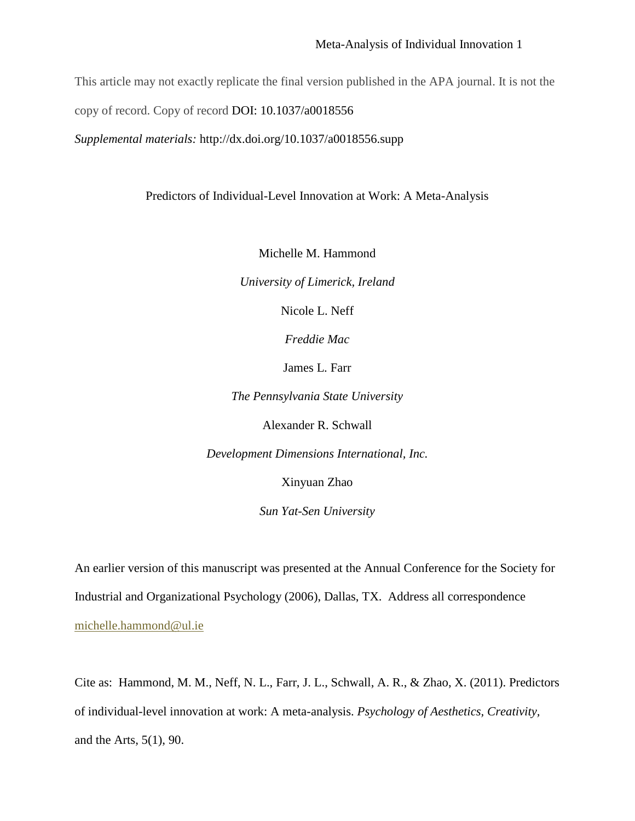This article may not exactly replicate the final version published in the APA journal. It is not the

copy of record. Copy of record DOI: 10.1037/a0018556

*Supplemental materials:* http://dx.doi.org/10.1037/a0018556.supp

Predictors of Individual-Level Innovation at Work: A Meta-Analysis

Michelle M. Hammond

*University of Limerick, Ireland*

Nicole L. Neff

*Freddie Mac*

James L. Farr

*The Pennsylvania State University*

Alexander R. Schwall

*Development Dimensions International, Inc.*

Xinyuan Zhao

*Sun Yat-Sen University*

An earlier version of this manuscript was presented at the Annual Conference for the Society for Industrial and Organizational Psychology (2006), Dallas, TX. Address all correspondence [michelle.hammond@ul.ie](mailto:michelle.hammond@ul.ie)

Cite as: Hammond, M. M., Neff, N. L., Farr, J. L., Schwall, A. R., & Zhao, X. (2011). Predictors of individual-level innovation at work: A meta-analysis. *Psychology of Aesthetics, Creativity,* and the Arts, 5(1), 90.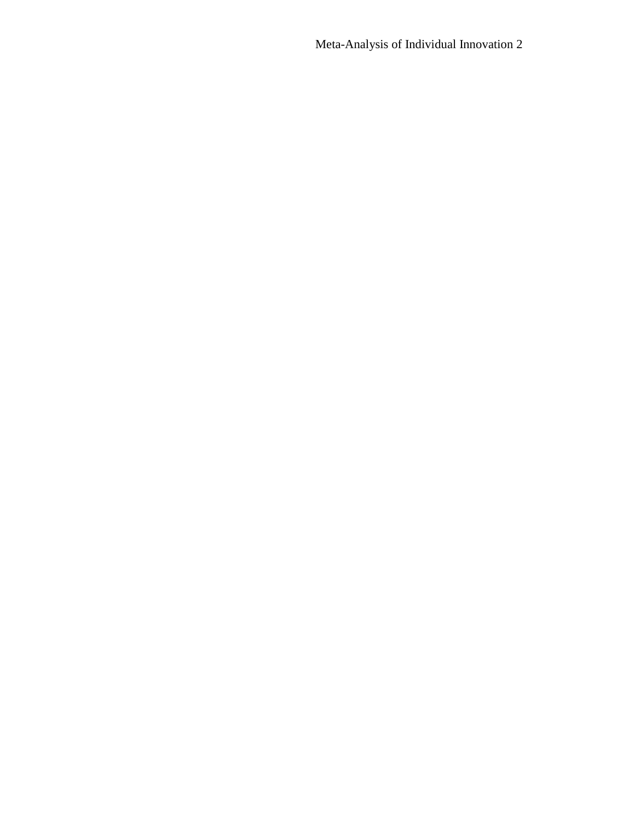Meta-Analysis of Individual Innovation 2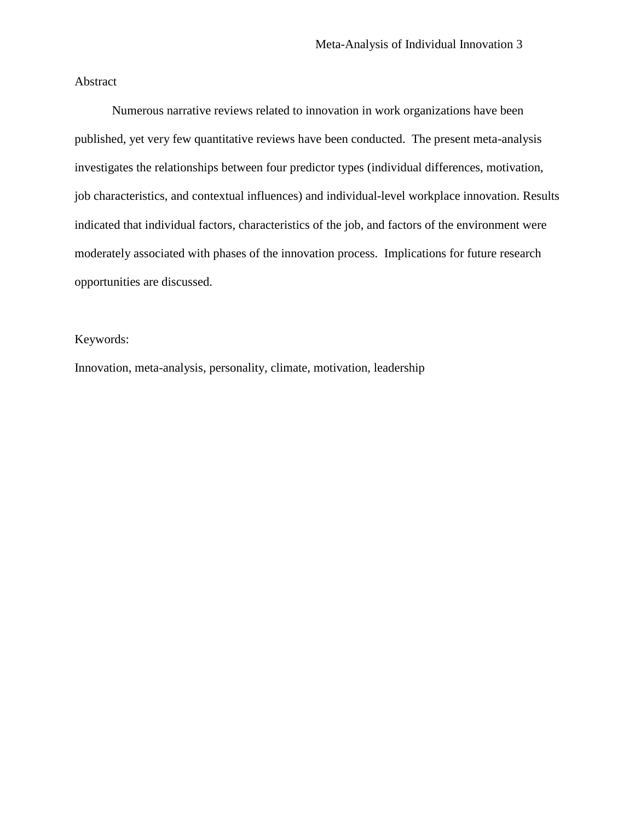Abstract

Numerous narrative reviews related to innovation in work organizations have been published, yet very few quantitative reviews have been conducted. The present meta-analysis investigates the relationships between four predictor types (individual differences, motivation, job characteristics, and contextual influences) and individual-level workplace innovation. Results indicated that individual factors, characteristics of the job, and factors of the environment were moderately associated with phases of the innovation process. Implications for future research opportunities are discussed.

# Keywords:

Innovation, meta-analysis, personality, climate, motivation, leadership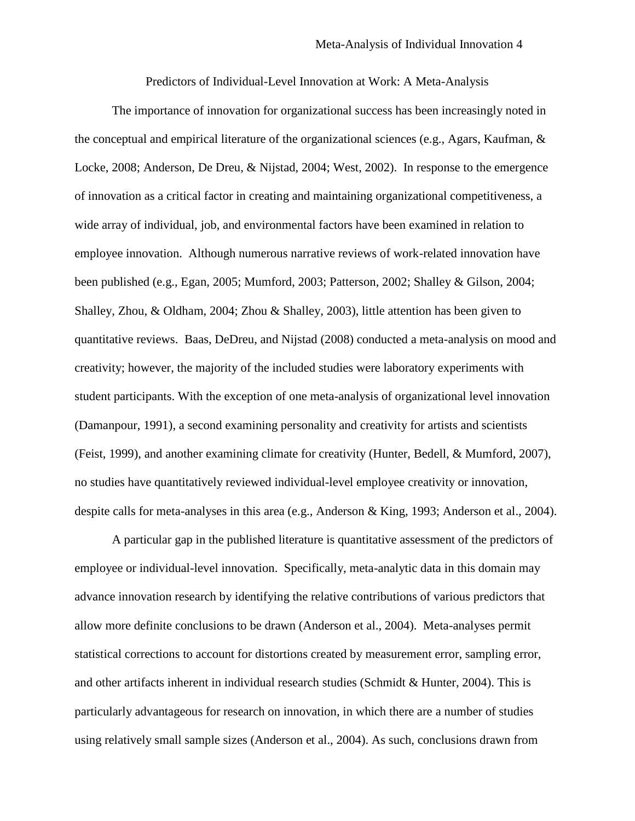Predictors of Individual-Level Innovation at Work: A Meta-Analysis

The importance of innovation for organizational success has been increasingly noted in the conceptual and empirical literature of the organizational sciences (e.g., Agars, Kaufman, & Locke, 2008; Anderson, De Dreu, & Nijstad, 2004; West, 2002). In response to the emergence of innovation as a critical factor in creating and maintaining organizational competitiveness, a wide array of individual, job, and environmental factors have been examined in relation to employee innovation. Although numerous narrative reviews of work-related innovation have been published (e.g., Egan, 2005; Mumford, 2003; Patterson, 2002; Shalley & Gilson, 2004; Shalley, Zhou, & Oldham, 2004; Zhou & Shalley, 2003), little attention has been given to quantitative reviews. Baas, DeDreu, and Nijstad (2008) conducted a meta-analysis on mood and creativity; however, the majority of the included studies were laboratory experiments with student participants. With the exception of one meta-analysis of organizational level innovation (Damanpour, 1991), a second examining personality and creativity for artists and scientists (Feist, 1999), and another examining climate for creativity (Hunter, Bedell, & Mumford, 2007), no studies have quantitatively reviewed individual-level employee creativity or innovation, despite calls for meta-analyses in this area (e.g., Anderson & King, 1993; Anderson et al., 2004).

A particular gap in the published literature is quantitative assessment of the predictors of employee or individual-level innovation. Specifically, meta-analytic data in this domain may advance innovation research by identifying the relative contributions of various predictors that allow more definite conclusions to be drawn (Anderson et al., 2004). Meta-analyses permit statistical corrections to account for distortions created by measurement error, sampling error, and other artifacts inherent in individual research studies (Schmidt & Hunter, 2004). This is particularly advantageous for research on innovation, in which there are a number of studies using relatively small sample sizes (Anderson et al., 2004). As such, conclusions drawn from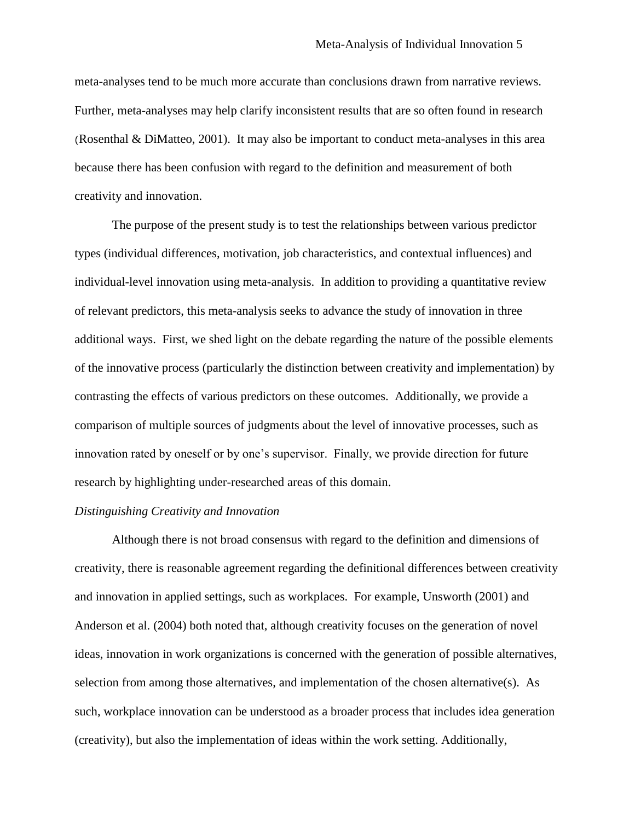meta-analyses tend to be much more accurate than conclusions drawn from narrative reviews. Further, meta-analyses may help clarify inconsistent results that are so often found in research (Rosenthal & DiMatteo, 2001). It may also be important to conduct meta-analyses in this area because there has been confusion with regard to the definition and measurement of both creativity and innovation.

The purpose of the present study is to test the relationships between various predictor types (individual differences, motivation, job characteristics, and contextual influences) and individual-level innovation using meta-analysis. In addition to providing a quantitative review of relevant predictors, this meta-analysis seeks to advance the study of innovation in three additional ways. First, we shed light on the debate regarding the nature of the possible elements of the innovative process (particularly the distinction between creativity and implementation) by contrasting the effects of various predictors on these outcomes. Additionally, we provide a comparison of multiple sources of judgments about the level of innovative processes, such as innovation rated by oneself or by one's supervisor. Finally, we provide direction for future research by highlighting under-researched areas of this domain.

#### *Distinguishing Creativity and Innovation*

Although there is not broad consensus with regard to the definition and dimensions of creativity, there is reasonable agreement regarding the definitional differences between creativity and innovation in applied settings, such as workplaces. For example, Unsworth (2001) and Anderson et al. (2004) both noted that, although creativity focuses on the generation of novel ideas, innovation in work organizations is concerned with the generation of possible alternatives, selection from among those alternatives, and implementation of the chosen alternative(s). As such, workplace innovation can be understood as a broader process that includes idea generation (creativity), but also the implementation of ideas within the work setting. Additionally,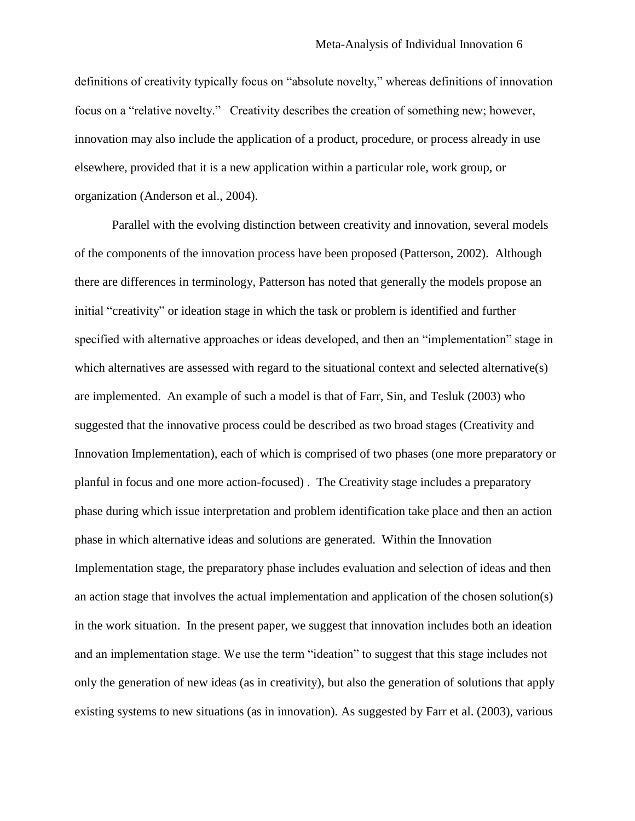definitions of creativity typically focus on "absolute novelty," whereas definitions of innovation focus on a "relative novelty." Creativity describes the creation of something new; however, innovation may also include the application of a product, procedure, or process already in use elsewhere, provided that it is a new application within a particular role, work group, or organization (Anderson et al., 2004).

Parallel with the evolving distinction between creativity and innovation, several models of the components of the innovation process have been proposed (Patterson, 2002). Although there are differences in terminology, Patterson has noted that generally the models propose an initial "creativity" or ideation stage in which the task or problem is identified and further specified with alternative approaches or ideas developed, and then an "implementation" stage in which alternatives are assessed with regard to the situational context and selected alternative(s) are implemented. An example of such a model is that of Farr, Sin, and Tesluk (2003) who suggested that the innovative process could be described as two broad stages (Creativity and Innovation Implementation), each of which is comprised of two phases (one more preparatory or planful in focus and one more action-focused) . The Creativity stage includes a preparatory phase during which issue interpretation and problem identification take place and then an action phase in which alternative ideas and solutions are generated. Within the Innovation Implementation stage, the preparatory phase includes evaluation and selection of ideas and then an action stage that involves the actual implementation and application of the chosen solution(s) in the work situation. In the present paper, we suggest that innovation includes both an ideation and an implementation stage. We use the term "ideation" to suggest that this stage includes not only the generation of new ideas (as in creativity), but also the generation of solutions that apply existing systems to new situations (as in innovation). As suggested by Farr et al. (2003), various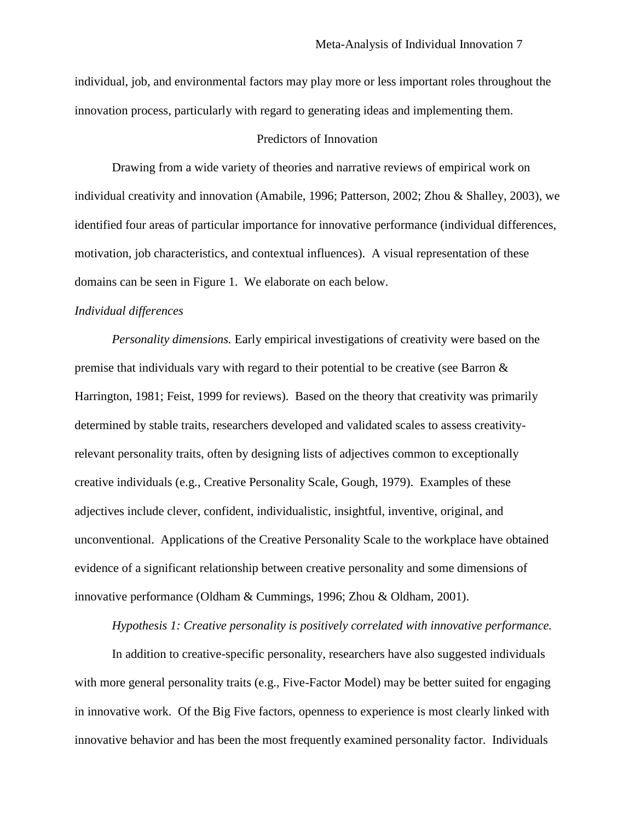individual, job, and environmental factors may play more or less important roles throughout the innovation process, particularly with regard to generating ideas and implementing them.

# Predictors of Innovation

Drawing from a wide variety of theories and narrative reviews of empirical work on individual creativity and innovation (Amabile, 1996; Patterson, 2002; Zhou & Shalley, 2003), we identified four areas of particular importance for innovative performance (individual differences, motivation, job characteristics, and contextual influences). A visual representation of these domains can be seen in Figure 1. We elaborate on each below.

### *Individual differences*

*Personality dimensions.* Early empirical investigations of creativity were based on the premise that individuals vary with regard to their potential to be creative (see Barron & Harrington, 1981; Feist, 1999 for reviews). Based on the theory that creativity was primarily determined by stable traits, researchers developed and validated scales to assess creativityrelevant personality traits, often by designing lists of adjectives common to exceptionally creative individuals (e.g., Creative Personality Scale, Gough, 1979). Examples of these adjectives include clever, confident, individualistic, insightful, inventive, original, and unconventional. Applications of the Creative Personality Scale to the workplace have obtained evidence of a significant relationship between creative personality and some dimensions of innovative performance (Oldham & Cummings, 1996; Zhou & Oldham, 2001).

*Hypothesis 1: Creative personality is positively correlated with innovative performance.*

In addition to creative-specific personality, researchers have also suggested individuals with more general personality traits (e.g., Five-Factor Model) may be better suited for engaging in innovative work. Of the Big Five factors, openness to experience is most clearly linked with innovative behavior and has been the most frequently examined personality factor. Individuals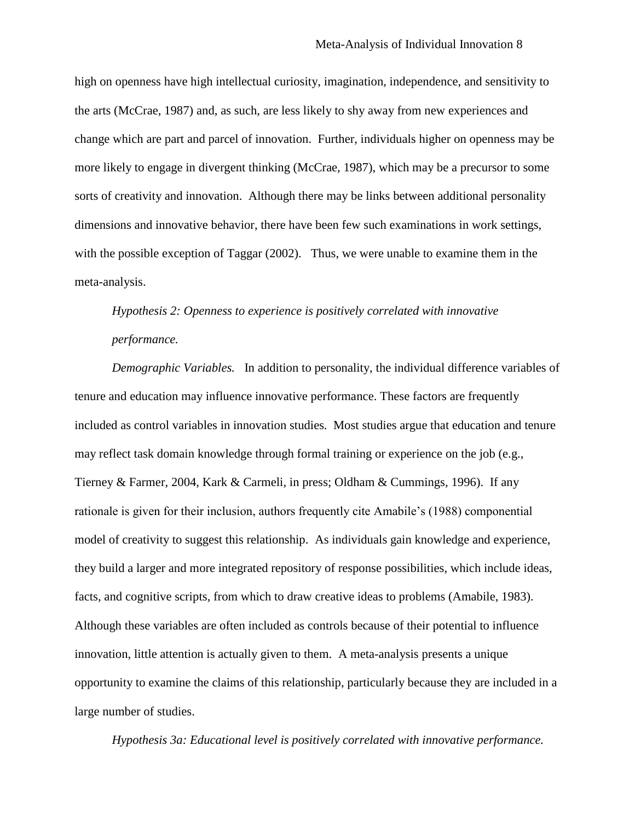high on openness have high intellectual curiosity, imagination, independence, and sensitivity to the arts (McCrae, 1987) and, as such, are less likely to shy away from new experiences and change which are part and parcel of innovation. Further, individuals higher on openness may be more likely to engage in divergent thinking (McCrae, 1987), which may be a precursor to some sorts of creativity and innovation. Although there may be links between additional personality dimensions and innovative behavior, there have been few such examinations in work settings, with the possible exception of Taggar (2002). Thus, we were unable to examine them in the meta-analysis.

*Hypothesis 2: Openness to experience is positively correlated with innovative performance.*

*Demographic Variables.* In addition to personality, the individual difference variables of tenure and education may influence innovative performance. These factors are frequently included as control variables in innovation studies. Most studies argue that education and tenure may reflect task domain knowledge through formal training or experience on the job (e.g., Tierney & Farmer, 2004, Kark & Carmeli, in press; Oldham & Cummings, 1996). If any rationale is given for their inclusion, authors frequently cite Amabile's (1988) componential model of creativity to suggest this relationship. As individuals gain knowledge and experience, they build a larger and more integrated repository of response possibilities, which include ideas, facts, and cognitive scripts, from which to draw creative ideas to problems (Amabile, 1983). Although these variables are often included as controls because of their potential to influence innovation, little attention is actually given to them. A meta-analysis presents a unique opportunity to examine the claims of this relationship, particularly because they are included in a large number of studies.

*Hypothesis 3a: Educational level is positively correlated with innovative performance.*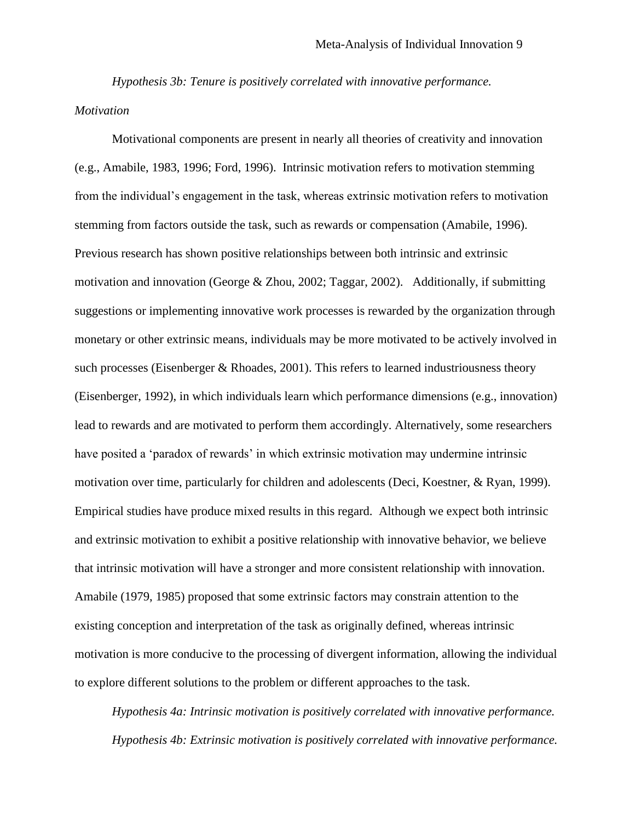*Hypothesis 3b: Tenure is positively correlated with innovative performance. Motivation*

Motivational components are present in nearly all theories of creativity and innovation (e.g., Amabile, 1983, 1996; Ford, 1996). Intrinsic motivation refers to motivation stemming from the individual's engagement in the task, whereas extrinsic motivation refers to motivation stemming from factors outside the task, such as rewards or compensation (Amabile, 1996). Previous research has shown positive relationships between both intrinsic and extrinsic motivation and innovation (George & Zhou, 2002; Taggar, 2002). Additionally, if submitting suggestions or implementing innovative work processes is rewarded by the organization through monetary or other extrinsic means, individuals may be more motivated to be actively involved in such processes (Eisenberger & Rhoades, 2001). This refers to learned industriousness theory (Eisenberger, 1992), in which individuals learn which performance dimensions (e.g., innovation) lead to rewards and are motivated to perform them accordingly. Alternatively, some researchers have posited a 'paradox of rewards' in which extrinsic motivation may undermine intrinsic motivation over time, particularly for children and adolescents (Deci, Koestner, & Ryan, 1999). Empirical studies have produce mixed results in this regard. Although we expect both intrinsic and extrinsic motivation to exhibit a positive relationship with innovative behavior, we believe that intrinsic motivation will have a stronger and more consistent relationship with innovation. Amabile (1979, 1985) proposed that some extrinsic factors may constrain attention to the existing conception and interpretation of the task as originally defined, whereas intrinsic motivation is more conducive to the processing of divergent information, allowing the individual to explore different solutions to the problem or different approaches to the task.

*Hypothesis 4a: Intrinsic motivation is positively correlated with innovative performance. Hypothesis 4b: Extrinsic motivation is positively correlated with innovative performance.*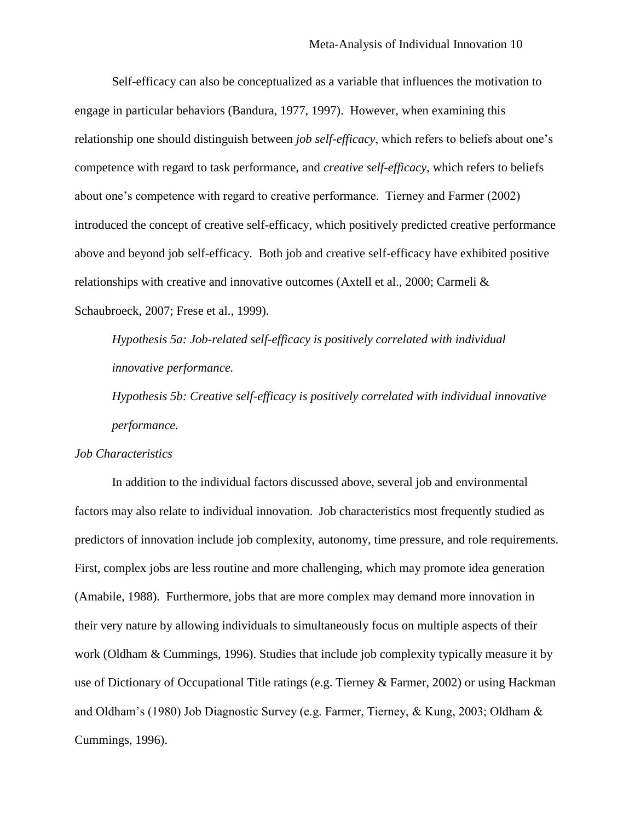Self-efficacy can also be conceptualized as a variable that influences the motivation to engage in particular behaviors (Bandura, 1977, 1997). However, when examining this relationship one should distinguish between *job self-efficacy*, which refers to beliefs about one's competence with regard to task performance, and *creative self-efficacy*, which refers to beliefs about one's competence with regard to creative performance. Tierney and Farmer (2002) introduced the concept of creative self-efficacy, which positively predicted creative performance above and beyond job self-efficacy. Both job and creative self-efficacy have exhibited positive relationships with creative and innovative outcomes (Axtell et al., 2000; Carmeli & Schaubroeck, 2007; Frese et al., 1999).

*Hypothesis 5a: Job-related self-efficacy is positively correlated with individual innovative performance.*

*Hypothesis 5b: Creative self-efficacy is positively correlated with individual innovative performance.*

### *Job Characteristics*

In addition to the individual factors discussed above, several job and environmental factors may also relate to individual innovation. Job characteristics most frequently studied as predictors of innovation include job complexity, autonomy, time pressure, and role requirements. First, complex jobs are less routine and more challenging, which may promote idea generation (Amabile, 1988). Furthermore, jobs that are more complex may demand more innovation in their very nature by allowing individuals to simultaneously focus on multiple aspects of their work (Oldham & Cummings, 1996). Studies that include job complexity typically measure it by use of Dictionary of Occupational Title ratings (e.g. Tierney & Farmer, 2002) or using Hackman and Oldham's (1980) Job Diagnostic Survey (e.g. Farmer, Tierney, & Kung, 2003; Oldham & Cummings, 1996).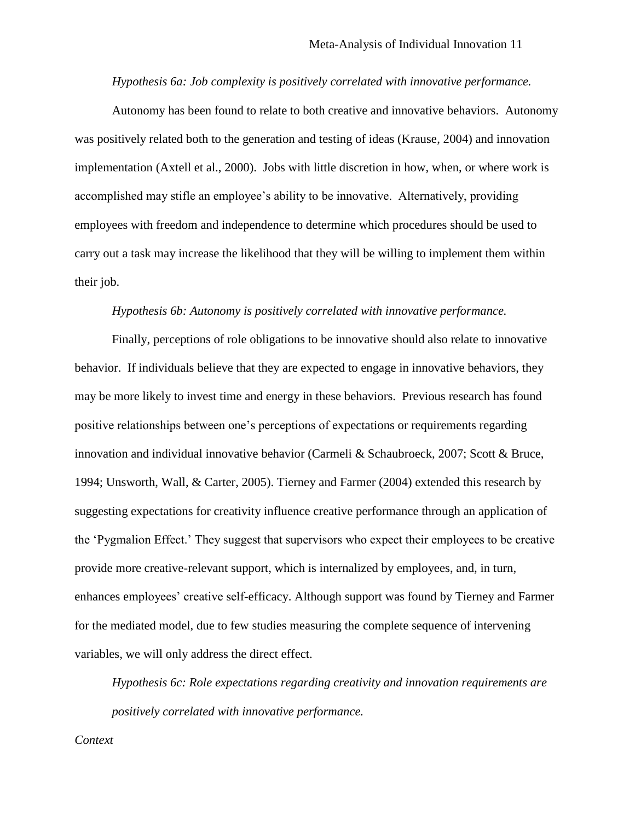*Hypothesis 6a: Job complexity is positively correlated with innovative performance.* 

Autonomy has been found to relate to both creative and innovative behaviors. Autonomy was positively related both to the generation and testing of ideas (Krause, 2004) and innovation implementation (Axtell et al., 2000). Jobs with little discretion in how, when, or where work is accomplished may stifle an employee's ability to be innovative. Alternatively, providing employees with freedom and independence to determine which procedures should be used to carry out a task may increase the likelihood that they will be willing to implement them within their job.

#### *Hypothesis 6b: Autonomy is positively correlated with innovative performance.*

Finally, perceptions of role obligations to be innovative should also relate to innovative behavior. If individuals believe that they are expected to engage in innovative behaviors, they may be more likely to invest time and energy in these behaviors. Previous research has found positive relationships between one's perceptions of expectations or requirements regarding innovation and individual innovative behavior (Carmeli & Schaubroeck, 2007; Scott & Bruce, 1994; Unsworth, Wall, & Carter, 2005). Tierney and Farmer (2004) extended this research by suggesting expectations for creativity influence creative performance through an application of the 'Pygmalion Effect.' They suggest that supervisors who expect their employees to be creative provide more creative-relevant support, which is internalized by employees, and, in turn, enhances employees' creative self-efficacy. Although support was found by Tierney and Farmer for the mediated model, due to few studies measuring the complete sequence of intervening variables, we will only address the direct effect.

*Hypothesis 6c: Role expectations regarding creativity and innovation requirements are positively correlated with innovative performance.*

*Context*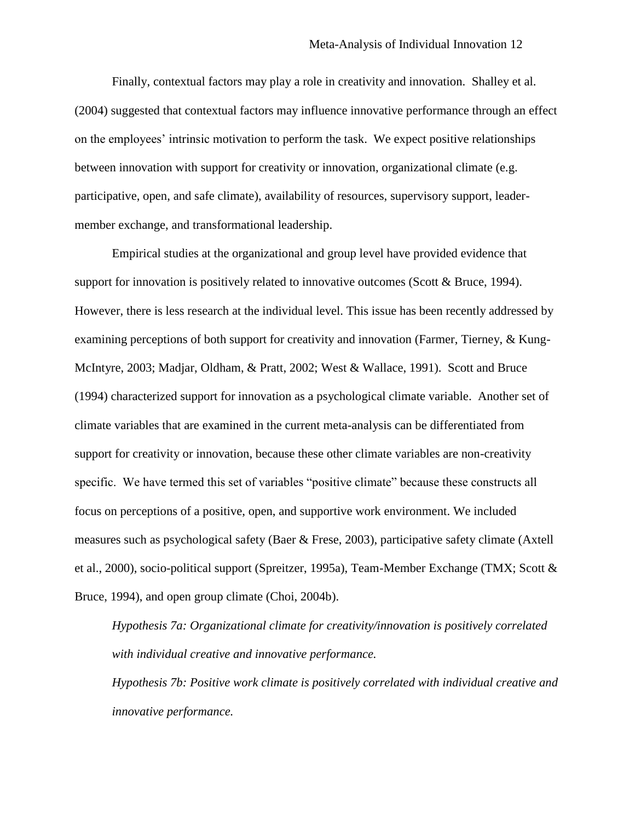Finally, contextual factors may play a role in creativity and innovation. Shalley et al. (2004) suggested that contextual factors may influence innovative performance through an effect on the employees' intrinsic motivation to perform the task. We expect positive relationships between innovation with support for creativity or innovation, organizational climate (e.g. participative, open, and safe climate), availability of resources, supervisory support, leadermember exchange, and transformational leadership.

Empirical studies at the organizational and group level have provided evidence that support for innovation is positively related to innovative outcomes (Scott & Bruce, 1994). However, there is less research at the individual level. This issue has been recently addressed by examining perceptions of both support for creativity and innovation (Farmer, Tierney, & Kung-McIntyre, 2003; Madjar, Oldham, & Pratt, 2002; West & Wallace, 1991). Scott and Bruce (1994) characterized support for innovation as a psychological climate variable. Another set of climate variables that are examined in the current meta-analysis can be differentiated from support for creativity or innovation, because these other climate variables are non-creativity specific. We have termed this set of variables "positive climate" because these constructs all focus on perceptions of a positive, open, and supportive work environment. We included measures such as psychological safety (Baer & Frese, 2003), participative safety climate (Axtell et al., 2000), socio-political support (Spreitzer, 1995a), Team-Member Exchange (TMX; Scott & Bruce, 1994), and open group climate (Choi, 2004b).

*Hypothesis 7a: Organizational climate for creativity/innovation is positively correlated with individual creative and innovative performance.*

*Hypothesis 7b: Positive work climate is positively correlated with individual creative and innovative performance.*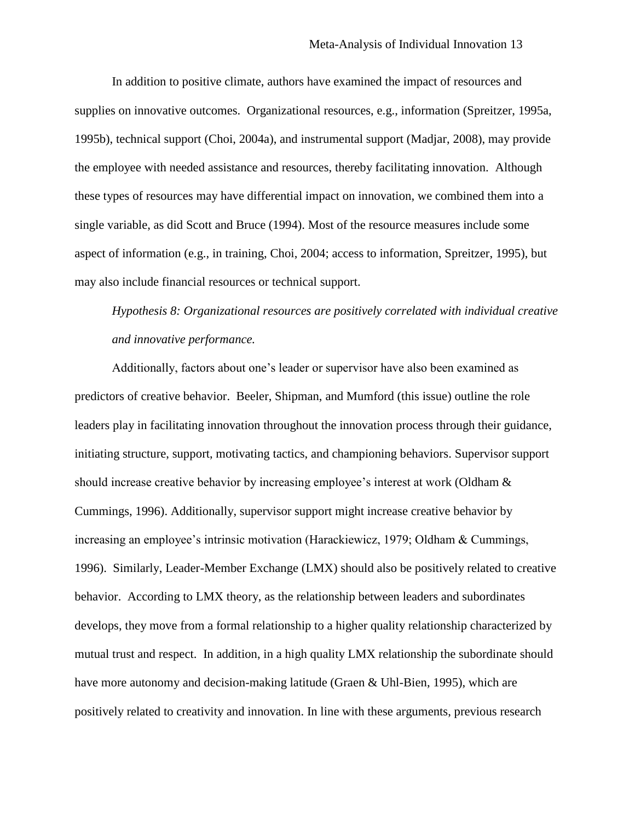In addition to positive climate, authors have examined the impact of resources and supplies on innovative outcomes. Organizational resources, e.g., information (Spreitzer, 1995a, 1995b), technical support (Choi, 2004a), and instrumental support (Madjar, 2008), may provide the employee with needed assistance and resources, thereby facilitating innovation. Although these types of resources may have differential impact on innovation, we combined them into a single variable, as did Scott and Bruce (1994). Most of the resource measures include some aspect of information (e.g., in training, Choi, 2004; access to information, Spreitzer, 1995), but may also include financial resources or technical support.

*Hypothesis 8: Organizational resources are positively correlated with individual creative and innovative performance.*

Additionally, factors about one's leader or supervisor have also been examined as predictors of creative behavior. Beeler, Shipman, and Mumford (this issue) outline the role leaders play in facilitating innovation throughout the innovation process through their guidance, initiating structure, support, motivating tactics, and championing behaviors. Supervisor support should increase creative behavior by increasing employee's interest at work (Oldham & Cummings, 1996). Additionally, supervisor support might increase creative behavior by increasing an employee's intrinsic motivation (Harackiewicz, 1979; Oldham & Cummings, 1996). Similarly, Leader-Member Exchange (LMX) should also be positively related to creative behavior. According to LMX theory, as the relationship between leaders and subordinates develops, they move from a formal relationship to a higher quality relationship characterized by mutual trust and respect. In addition, in a high quality LMX relationship the subordinate should have more autonomy and decision-making latitude (Graen & Uhl-Bien, 1995), which are positively related to creativity and innovation. In line with these arguments, previous research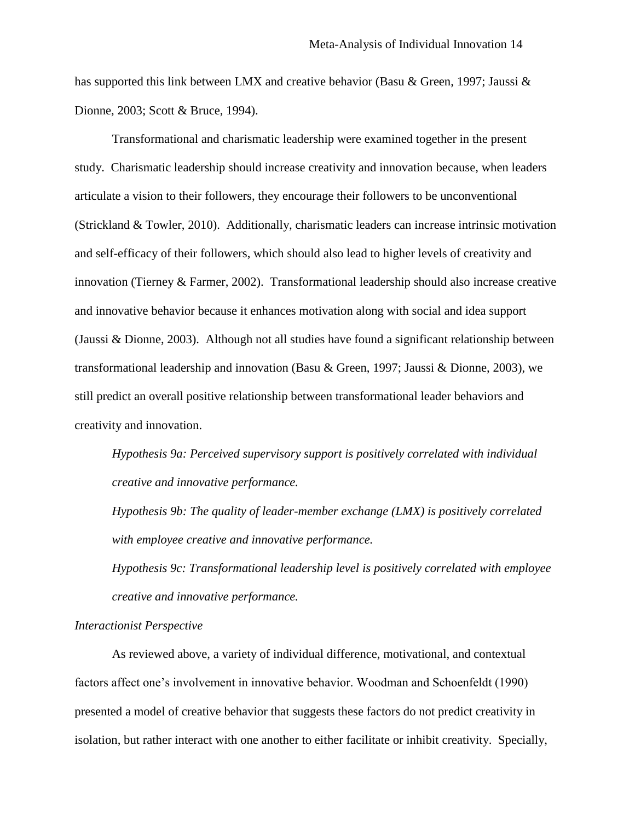has supported this link between LMX and creative behavior (Basu & Green, 1997; Jaussi & Dionne, 2003; Scott & Bruce, 1994).

Transformational and charismatic leadership were examined together in the present study. Charismatic leadership should increase creativity and innovation because, when leaders articulate a vision to their followers, they encourage their followers to be unconventional (Strickland & Towler, 2010).Additionally, charismatic leaders can increase intrinsic motivation and self-efficacy of their followers, which should also lead to higher levels of creativity and innovation (Tierney & Farmer, 2002). Transformational leadership should also increase creative and innovative behavior because it enhances motivation along with social and idea support (Jaussi & Dionne, 2003). Although not all studies have found a significant relationship between transformational leadership and innovation (Basu & Green, 1997; Jaussi & Dionne, 2003), we still predict an overall positive relationship between transformational leader behaviors and creativity and innovation.

*Hypothesis 9a: Perceived supervisory support is positively correlated with individual creative and innovative performance.*

*Hypothesis 9b: The quality of leader-member exchange (LMX) is positively correlated with employee creative and innovative performance.*

*Hypothesis 9c: Transformational leadership level is positively correlated with employee creative and innovative performance.*

# *Interactionist Perspective*

As reviewed above, a variety of individual difference, motivational, and contextual factors affect one's involvement in innovative behavior. Woodman and Schoenfeldt (1990) presented a model of creative behavior that suggests these factors do not predict creativity in isolation, but rather interact with one another to either facilitate or inhibit creativity. Specially,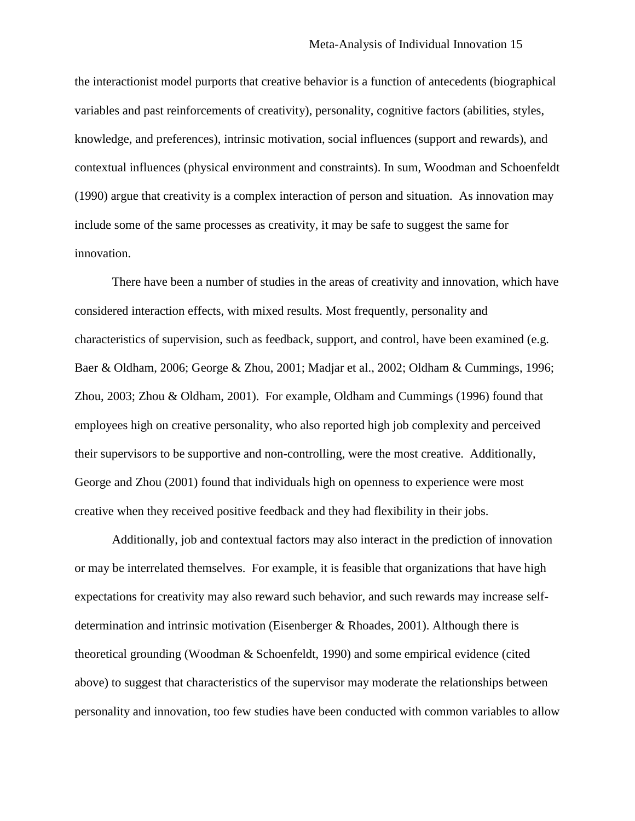the interactionist model purports that creative behavior is a function of antecedents (biographical variables and past reinforcements of creativity), personality, cognitive factors (abilities, styles, knowledge, and preferences), intrinsic motivation, social influences (support and rewards), and contextual influences (physical environment and constraints). In sum, Woodman and Schoenfeldt (1990) argue that creativity is a complex interaction of person and situation. As innovation may include some of the same processes as creativity, it may be safe to suggest the same for innovation.

There have been a number of studies in the areas of creativity and innovation, which have considered interaction effects, with mixed results. Most frequently, personality and characteristics of supervision, such as feedback, support, and control, have been examined (e.g. Baer & Oldham, 2006; George & Zhou, 2001; Madjar et al., 2002; Oldham & Cummings, 1996; Zhou, 2003; Zhou & Oldham, 2001). For example, Oldham and Cummings (1996) found that employees high on creative personality, who also reported high job complexity and perceived their supervisors to be supportive and non-controlling, were the most creative. Additionally, George and Zhou (2001) found that individuals high on openness to experience were most creative when they received positive feedback and they had flexibility in their jobs.

Additionally, job and contextual factors may also interact in the prediction of innovation or may be interrelated themselves. For example, it is feasible that organizations that have high expectations for creativity may also reward such behavior, and such rewards may increase selfdetermination and intrinsic motivation (Eisenberger & Rhoades, 2001). Although there is theoretical grounding (Woodman & Schoenfeldt, 1990) and some empirical evidence (cited above) to suggest that characteristics of the supervisor may moderate the relationships between personality and innovation, too few studies have been conducted with common variables to allow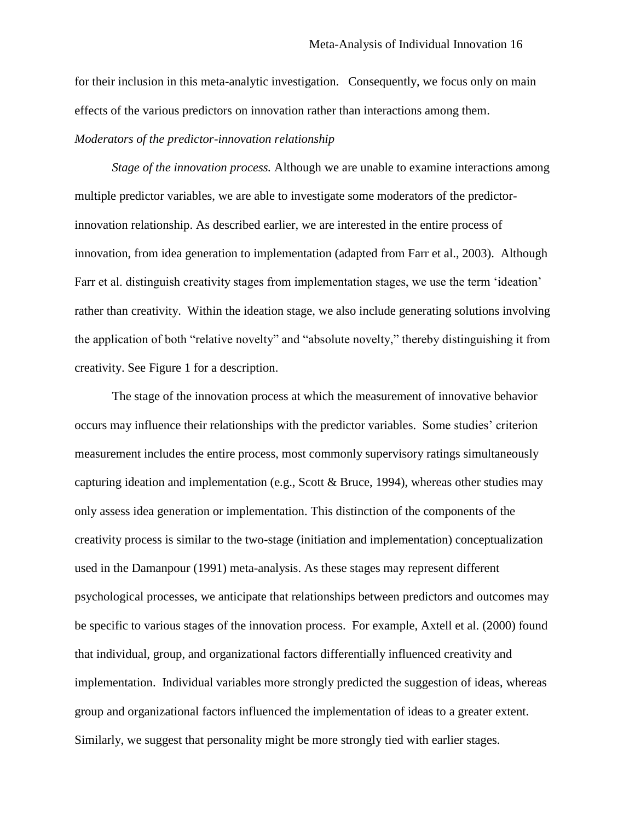for their inclusion in this meta-analytic investigation. Consequently, we focus only on main effects of the various predictors on innovation rather than interactions among them. *Moderators of the predictor-innovation relationship*

*Stage of the innovation process.* Although we are unable to examine interactions among multiple predictor variables, we are able to investigate some moderators of the predictorinnovation relationship. As described earlier, we are interested in the entire process of innovation, from idea generation to implementation (adapted from Farr et al., 2003). Although Farr et al. distinguish creativity stages from implementation stages, we use the term 'ideation' rather than creativity. Within the ideation stage, we also include generating solutions involving the application of both "relative novelty" and "absolute novelty," thereby distinguishing it from creativity. See Figure 1 for a description.

The stage of the innovation process at which the measurement of innovative behavior occurs may influence their relationships with the predictor variables. Some studies' criterion measurement includes the entire process, most commonly supervisory ratings simultaneously capturing ideation and implementation (e.g., Scott & Bruce, 1994), whereas other studies may only assess idea generation or implementation. This distinction of the components of the creativity process is similar to the two-stage (initiation and implementation) conceptualization used in the Damanpour (1991) meta-analysis. As these stages may represent different psychological processes, we anticipate that relationships between predictors and outcomes may be specific to various stages of the innovation process. For example, Axtell et al. (2000) found that individual, group, and organizational factors differentially influenced creativity and implementation. Individual variables more strongly predicted the suggestion of ideas, whereas group and organizational factors influenced the implementation of ideas to a greater extent. Similarly, we suggest that personality might be more strongly tied with earlier stages.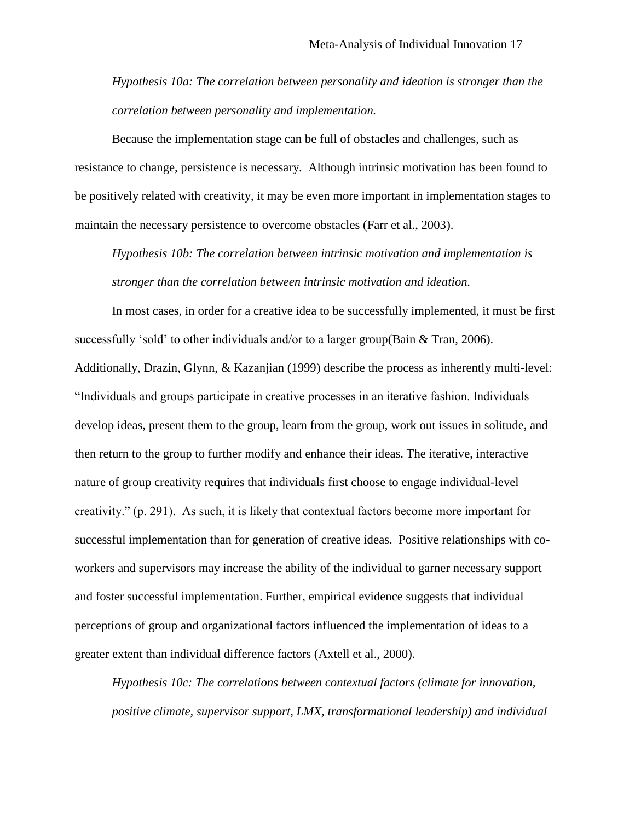*Hypothesis 10a: The correlation between personality and ideation is stronger than the correlation between personality and implementation.*

Because the implementation stage can be full of obstacles and challenges, such as resistance to change, persistence is necessary. Although intrinsic motivation has been found to be positively related with creativity, it may be even more important in implementation stages to maintain the necessary persistence to overcome obstacles (Farr et al., 2003).

*Hypothesis 10b: The correlation between intrinsic motivation and implementation is stronger than the correlation between intrinsic motivation and ideation.*

In most cases, in order for a creative idea to be successfully implemented, it must be first successfully 'sold' to other individuals and/or to a larger group(Bain & Tran, 2006). Additionally, Drazin, Glynn, & Kazanjian (1999) describe the process as inherently multi-level: "Individuals and groups participate in creative processes in an iterative fashion. Individuals develop ideas, present them to the group, learn from the group, work out issues in solitude, and then return to the group to further modify and enhance their ideas. The iterative, interactive nature of group creativity requires that individuals first choose to engage individual-level creativity." (p. 291). As such, it is likely that contextual factors become more important for successful implementation than for generation of creative ideas. Positive relationships with coworkers and supervisors may increase the ability of the individual to garner necessary support and foster successful implementation. Further, empirical evidence suggests that individual perceptions of group and organizational factors influenced the implementation of ideas to a greater extent than individual difference factors (Axtell et al., 2000).

*Hypothesis 10c: The correlations between contextual factors (climate for innovation, positive climate, supervisor support, LMX, transformational leadership) and individual*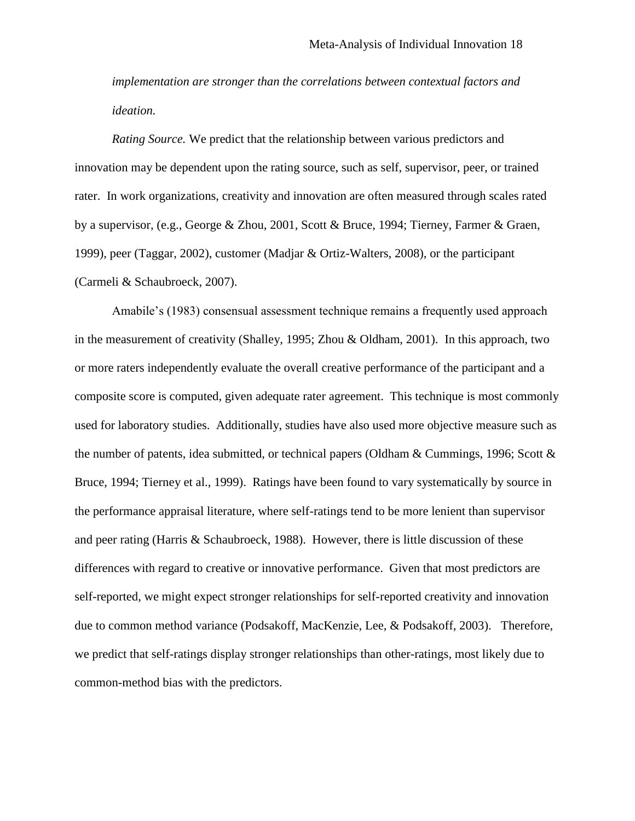*implementation are stronger than the correlations between contextual factors and ideation.*

*Rating Source.* We predict that the relationship between various predictors and innovation may be dependent upon the rating source, such as self, supervisor, peer, or trained rater. In work organizations, creativity and innovation are often measured through scales rated by a supervisor, (e.g., George & Zhou, 2001, Scott & Bruce, 1994; Tierney, Farmer & Graen, 1999), peer (Taggar, 2002), customer (Madjar & Ortiz-Walters, 2008), or the participant (Carmeli & Schaubroeck, 2007).

Amabile's (1983) consensual assessment technique remains a frequently used approach in the measurement of creativity (Shalley, 1995; Zhou & Oldham, 2001). In this approach, two or more raters independently evaluate the overall creative performance of the participant and a composite score is computed, given adequate rater agreement. This technique is most commonly used for laboratory studies. Additionally, studies have also used more objective measure such as the number of patents, idea submitted, or technical papers (Oldham & Cummings, 1996; Scott & Bruce, 1994; Tierney et al., 1999). Ratings have been found to vary systematically by source in the performance appraisal literature, where self-ratings tend to be more lenient than supervisor and peer rating (Harris & Schaubroeck, 1988). However, there is little discussion of these differences with regard to creative or innovative performance. Given that most predictors are self-reported, we might expect stronger relationships for self-reported creativity and innovation due to common method variance (Podsakoff, MacKenzie, Lee, & Podsakoff, 2003). Therefore, we predict that self-ratings display stronger relationships than other-ratings, most likely due to common-method bias with the predictors.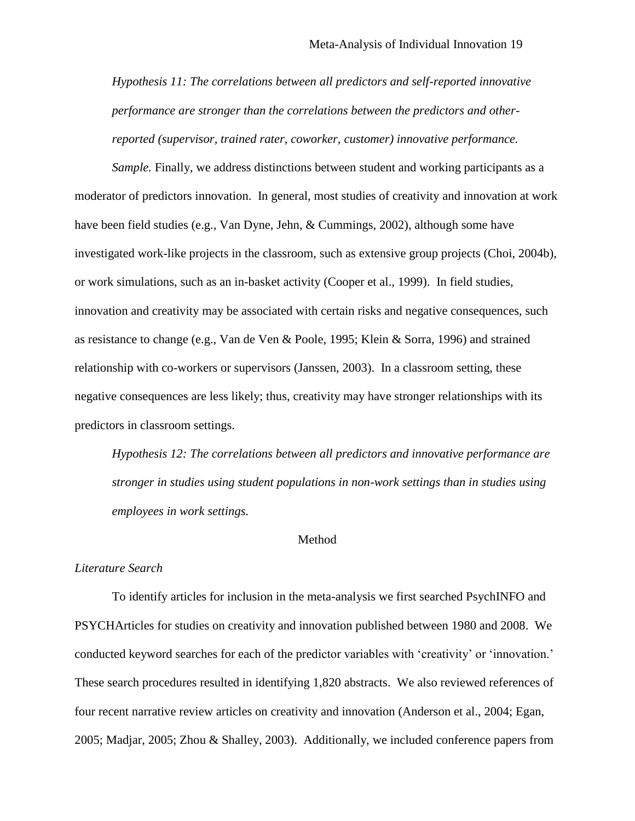*Hypothesis 11: The correlations between all predictors and self-reported innovative performance are stronger than the correlations between the predictors and otherreported (supervisor, trained rater, coworker, customer) innovative performance.* 

*Sample.* Finally, we address distinctions between student and working participants as a moderator of predictors innovation. In general, most studies of creativity and innovation at work have been field studies (e.g., Van Dyne, Jehn, & Cummings, 2002), although some have investigated work-like projects in the classroom, such as extensive group projects (Choi, 2004b), or work simulations, such as an in-basket activity (Cooper et al., 1999). In field studies, innovation and creativity may be associated with certain risks and negative consequences, such as resistance to change (e.g., Van de Ven & Poole, 1995; Klein & Sorra, 1996) and strained relationship with co-workers or supervisors (Janssen, 2003). In a classroom setting, these negative consequences are less likely; thus, creativity may have stronger relationships with its predictors in classroom settings.

*Hypothesis 12: The correlations between all predictors and innovative performance are stronger in studies using student populations in non-work settings than in studies using employees in work settings.* 

#### Method

### *Literature Search*

To identify articles for inclusion in the meta-analysis we first searched PsychINFO and PSYCHArticles for studies on creativity and innovation published between 1980 and 2008. We conducted keyword searches for each of the predictor variables with 'creativity' or 'innovation.' These search procedures resulted in identifying 1,820 abstracts. We also reviewed references of four recent narrative review articles on creativity and innovation (Anderson et al., 2004; Egan, 2005; Madjar, 2005; Zhou & Shalley, 2003). Additionally, we included conference papers from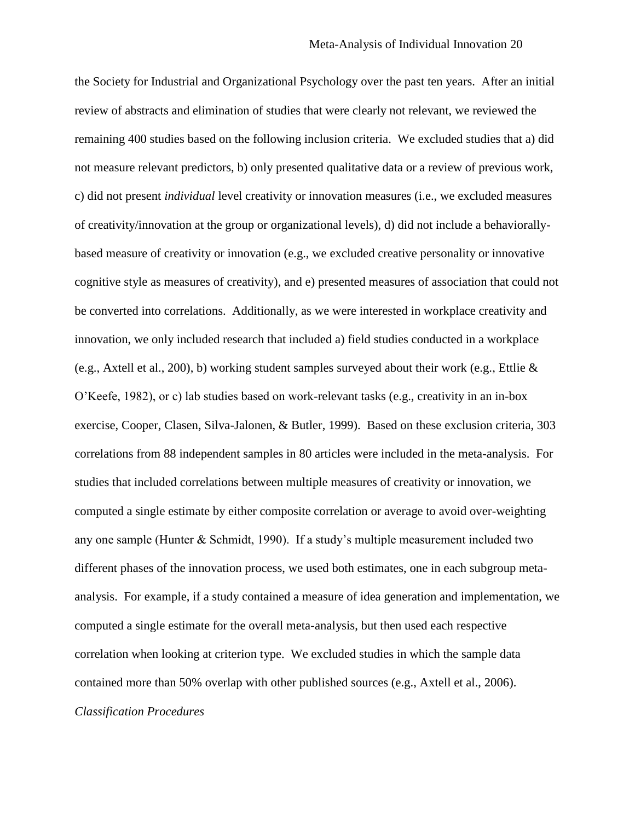the Society for Industrial and Organizational Psychology over the past ten years. After an initial review of abstracts and elimination of studies that were clearly not relevant, we reviewed the remaining 400 studies based on the following inclusion criteria. We excluded studies that a) did not measure relevant predictors, b) only presented qualitative data or a review of previous work, c) did not present *individual* level creativity or innovation measures (i.e., we excluded measures of creativity/innovation at the group or organizational levels), d) did not include a behaviorallybased measure of creativity or innovation (e.g., we excluded creative personality or innovative cognitive style as measures of creativity), and e) presented measures of association that could not be converted into correlations. Additionally, as we were interested in workplace creativity and innovation, we only included research that included a) field studies conducted in a workplace (e.g., Axtell et al., 200), b) working student samples surveyed about their work (e.g., Ettlie & O'Keefe, 1982), or c) lab studies based on work-relevant tasks (e.g., creativity in an in-box exercise, Cooper, Clasen, Silva-Jalonen, & Butler, 1999). Based on these exclusion criteria, 303 correlations from 88 independent samples in 80 articles were included in the meta-analysis. For studies that included correlations between multiple measures of creativity or innovation, we computed a single estimate by either composite correlation or average to avoid over-weighting any one sample (Hunter & Schmidt, 1990). If a study's multiple measurement included two different phases of the innovation process, we used both estimates, one in each subgroup metaanalysis. For example, if a study contained a measure of idea generation and implementation, we computed a single estimate for the overall meta-analysis, but then used each respective correlation when looking at criterion type. We excluded studies in which the sample data contained more than 50% overlap with other published sources (e.g., Axtell et al., 2006). *Classification Procedures*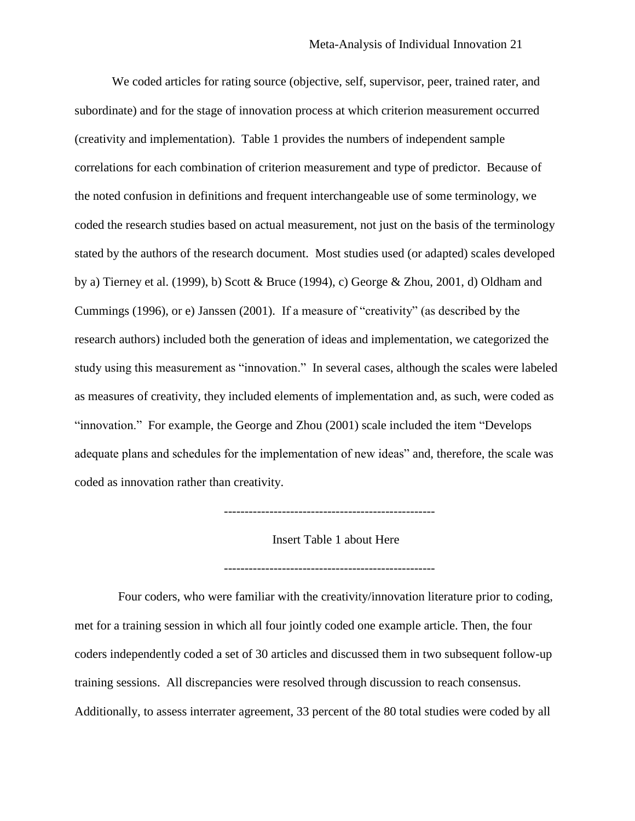We coded articles for rating source (objective, self, supervisor, peer, trained rater, and subordinate) and for the stage of innovation process at which criterion measurement occurred (creativity and implementation). Table 1 provides the numbers of independent sample correlations for each combination of criterion measurement and type of predictor. Because of the noted confusion in definitions and frequent interchangeable use of some terminology, we coded the research studies based on actual measurement, not just on the basis of the terminology stated by the authors of the research document. Most studies used (or adapted) scales developed by a) Tierney et al. (1999), b) Scott & Bruce (1994), c) George & Zhou, 2001, d) Oldham and Cummings (1996), or e) Janssen (2001). If a measure of "creativity" (as described by the research authors) included both the generation of ideas and implementation, we categorized the study using this measurement as "innovation." In several cases, although the scales were labeled as measures of creativity, they included elements of implementation and, as such, were coded as "innovation." For example, the George and Zhou (2001) scale included the item "Develops adequate plans and schedules for the implementation of new ideas" and, therefore, the scale was coded as innovation rather than creativity.

---------------------------------------------------

Insert Table 1 about Here

---------------------------------------------------

 Four coders, who were familiar with the creativity/innovation literature prior to coding, met for a training session in which all four jointly coded one example article. Then, the four coders independently coded a set of 30 articles and discussed them in two subsequent follow-up training sessions. All discrepancies were resolved through discussion to reach consensus. Additionally, to assess interrater agreement, 33 percent of the 80 total studies were coded by all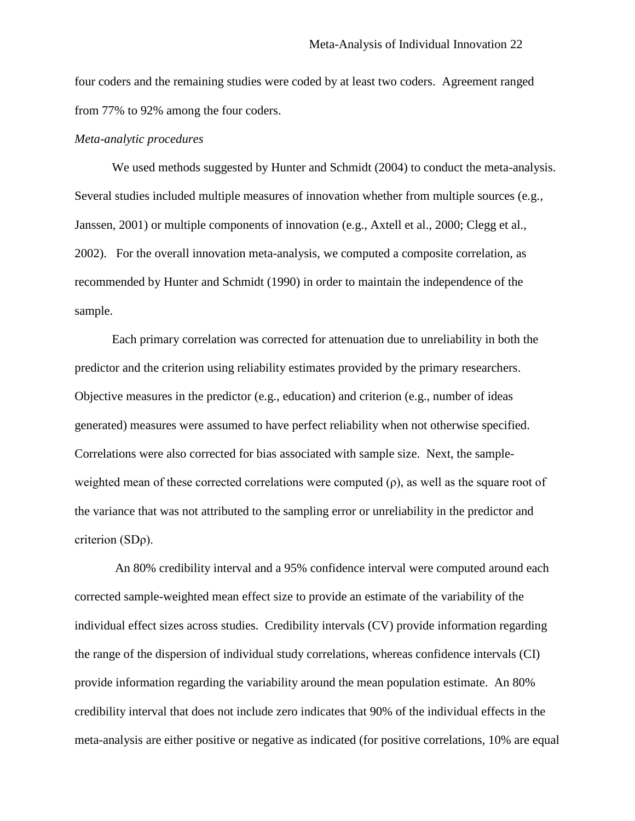four coders and the remaining studies were coded by at least two coders. Agreement ranged from 77% to 92% among the four coders.

## *Meta-analytic procedures*

We used methods suggested by Hunter and Schmidt (2004) to conduct the meta-analysis. Several studies included multiple measures of innovation whether from multiple sources (e.g., Janssen, 2001) or multiple components of innovation (e.g., Axtell et al., 2000; Clegg et al., 2002). For the overall innovation meta-analysis, we computed a composite correlation, as recommended by Hunter and Schmidt (1990) in order to maintain the independence of the sample.

Each primary correlation was corrected for attenuation due to unreliability in both the predictor and the criterion using reliability estimates provided by the primary researchers. Objective measures in the predictor (e.g., education) and criterion (e.g., number of ideas generated) measures were assumed to have perfect reliability when not otherwise specified. Correlations were also corrected for bias associated with sample size. Next, the sampleweighted mean of these corrected correlations were computed  $(\rho)$ , as well as the square root of the variance that was not attributed to the sampling error or unreliability in the predictor and criterion (SDρ).

An 80% credibility interval and a 95% confidence interval were computed around each corrected sample-weighted mean effect size to provide an estimate of the variability of the individual effect sizes across studies. Credibility intervals (CV) provide information regarding the range of the dispersion of individual study correlations, whereas confidence intervals (CI) provide information regarding the variability around the mean population estimate. An 80% credibility interval that does not include zero indicates that 90% of the individual effects in the meta-analysis are either positive or negative as indicated (for positive correlations, 10% are equal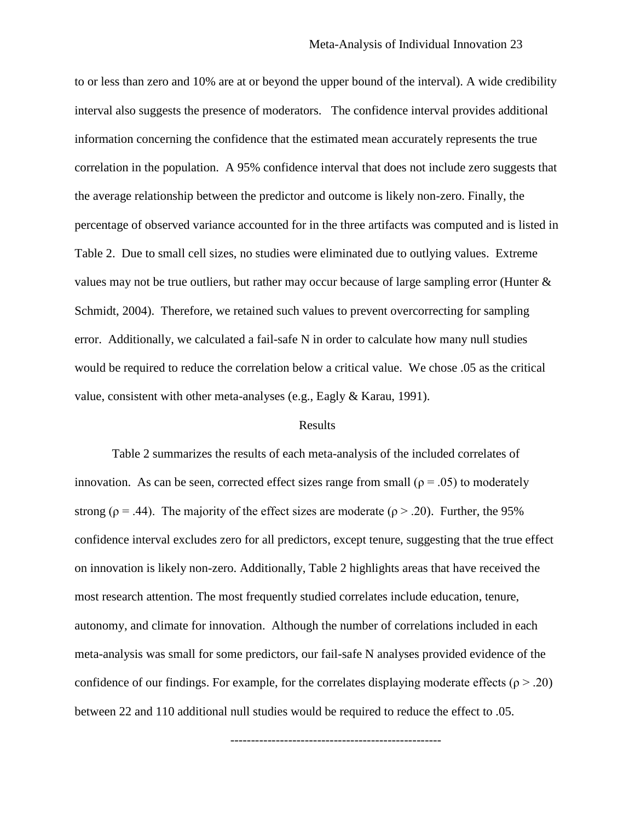to or less than zero and 10% are at or beyond the upper bound of the interval). A wide credibility interval also suggests the presence of moderators. The confidence interval provides additional information concerning the confidence that the estimated mean accurately represents the true correlation in the population. A 95% confidence interval that does not include zero suggests that the average relationship between the predictor and outcome is likely non-zero. Finally, the percentage of observed variance accounted for in the three artifacts was computed and is listed in Table 2. Due to small cell sizes, no studies were eliminated due to outlying values. Extreme values may not be true outliers, but rather may occur because of large sampling error (Hunter  $\&$ Schmidt, 2004). Therefore, we retained such values to prevent overcorrecting for sampling error. Additionally, we calculated a fail-safe N in order to calculate how many null studies would be required to reduce the correlation below a critical value. We chose .05 as the critical value, consistent with other meta-analyses (e.g., Eagly & Karau, 1991).

#### Results

Table 2 summarizes the results of each meta-analysis of the included correlates of innovation. As can be seen, corrected effect sizes range from small ( $\rho = .05$ ) to moderately strong ( $\rho = .44$ ). The majority of the effect sizes are moderate ( $\rho > .20$ ). Further, the 95% confidence interval excludes zero for all predictors, except tenure, suggesting that the true effect on innovation is likely non-zero. Additionally, Table 2 highlights areas that have received the most research attention. The most frequently studied correlates include education, tenure, autonomy, and climate for innovation. Although the number of correlations included in each meta-analysis was small for some predictors, our fail-safe N analyses provided evidence of the confidence of our findings. For example, for the correlates displaying moderate effects ( $\rho > .20$ ) between 22 and 110 additional null studies would be required to reduce the effect to .05.

---------------------------------------------------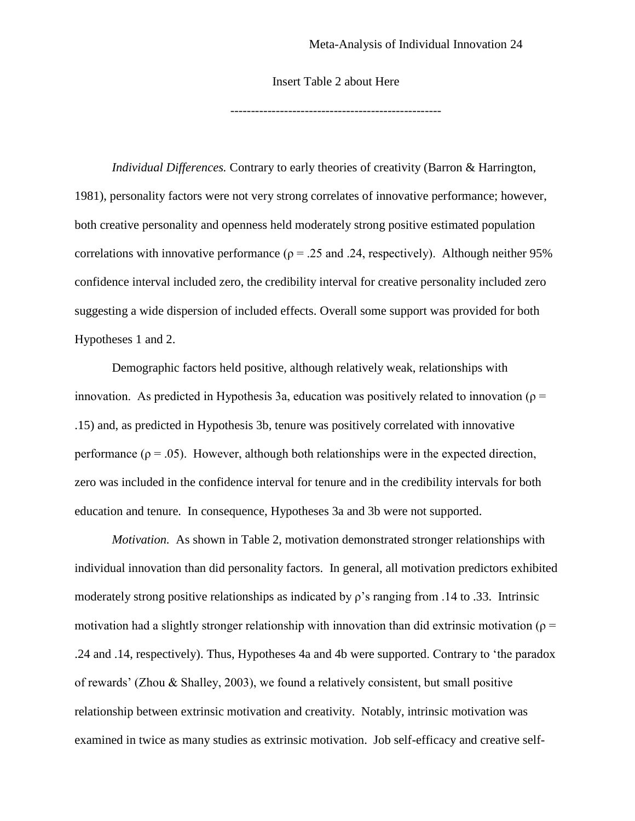Insert Table 2 about Here

---------------------------------------------------

*Individual Differences.* Contrary to early theories of creativity (Barron & Harrington, 1981), personality factors were not very strong correlates of innovative performance; however, both creative personality and openness held moderately strong positive estimated population correlations with innovative performance ( $\rho = 0.25$  and 0.24, respectively). Although neither 95% confidence interval included zero, the credibility interval for creative personality included zero suggesting a wide dispersion of included effects. Overall some support was provided for both Hypotheses 1 and 2.

Demographic factors held positive, although relatively weak, relationships with innovation. As predicted in Hypothesis 3a, education was positively related to innovation ( $\rho$  = .15) and, as predicted in Hypothesis 3b, tenure was positively correlated with innovative performance ( $\rho = 0.05$ ). However, although both relationships were in the expected direction, zero was included in the confidence interval for tenure and in the credibility intervals for both education and tenure. In consequence, Hypotheses 3a and 3b were not supported.

*Motivation.* As shown in Table 2, motivation demonstrated stronger relationships with individual innovation than did personality factors. In general, all motivation predictors exhibited moderately strong positive relationships as indicated by  $\rho$ 's ranging from .14 to .33. Intrinsic motivation had a slightly stronger relationship with innovation than did extrinsic motivation ( $\rho$  = .24 and .14, respectively). Thus, Hypotheses 4a and 4b were supported. Contrary to 'the paradox of rewards' (Zhou & Shalley, 2003), we found a relatively consistent, but small positive relationship between extrinsic motivation and creativity. Notably, intrinsic motivation was examined in twice as many studies as extrinsic motivation. Job self-efficacy and creative self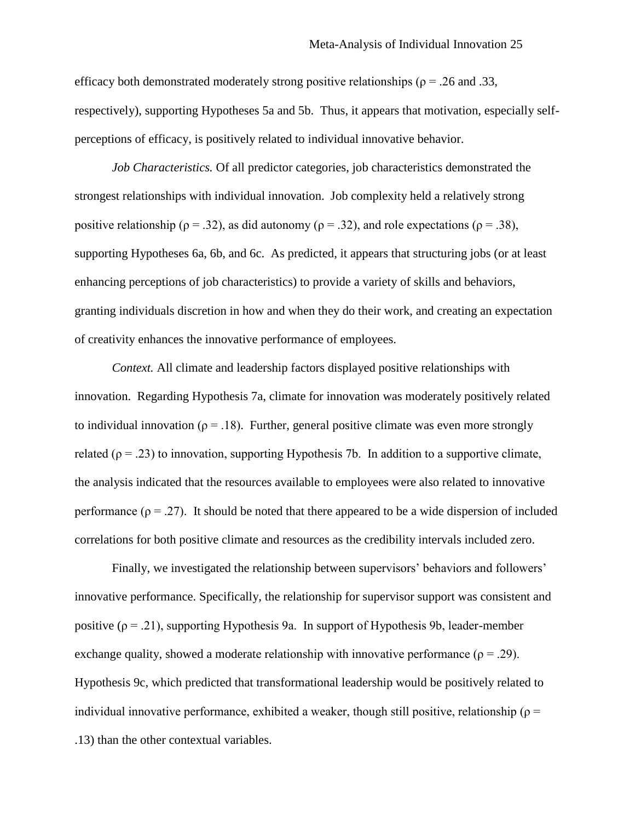efficacy both demonstrated moderately strong positive relationships ( $\rho = 0.26$  and 0.33, respectively), supporting Hypotheses 5a and 5b. Thus, it appears that motivation, especially selfperceptions of efficacy, is positively related to individual innovative behavior.

*Job Characteristics.* Of all predictor categories, job characteristics demonstrated the strongest relationships with individual innovation. Job complexity held a relatively strong positive relationship ( $\rho = .32$ ), as did autonomy ( $\rho = .32$ ), and role expectations ( $\rho = .38$ ), supporting Hypotheses 6a, 6b, and 6c. As predicted, it appears that structuring jobs (or at least enhancing perceptions of job characteristics) to provide a variety of skills and behaviors, granting individuals discretion in how and when they do their work, and creating an expectation of creativity enhances the innovative performance of employees.

*Context.* All climate and leadership factors displayed positive relationships with innovation. Regarding Hypothesis 7a, climate for innovation was moderately positively related to individual innovation ( $\rho = 0.18$ ). Further, general positive climate was even more strongly related ( $\rho = .23$ ) to innovation, supporting Hypothesis 7b. In addition to a supportive climate, the analysis indicated that the resources available to employees were also related to innovative performance ( $\rho = 0.27$ ). It should be noted that there appeared to be a wide dispersion of included correlations for both positive climate and resources as the credibility intervals included zero.

Finally, we investigated the relationship between supervisors' behaviors and followers' innovative performance. Specifically, the relationship for supervisor support was consistent and positive ( $\rho = 0.21$ ), supporting Hypothesis 9a. In support of Hypothesis 9b, leader-member exchange quality, showed a moderate relationship with innovative performance ( $\rho = .29$ ). Hypothesis 9c, which predicted that transformational leadership would be positively related to individual innovative performance, exhibited a weaker, though still positive, relationship ( $\rho$  = .13) than the other contextual variables.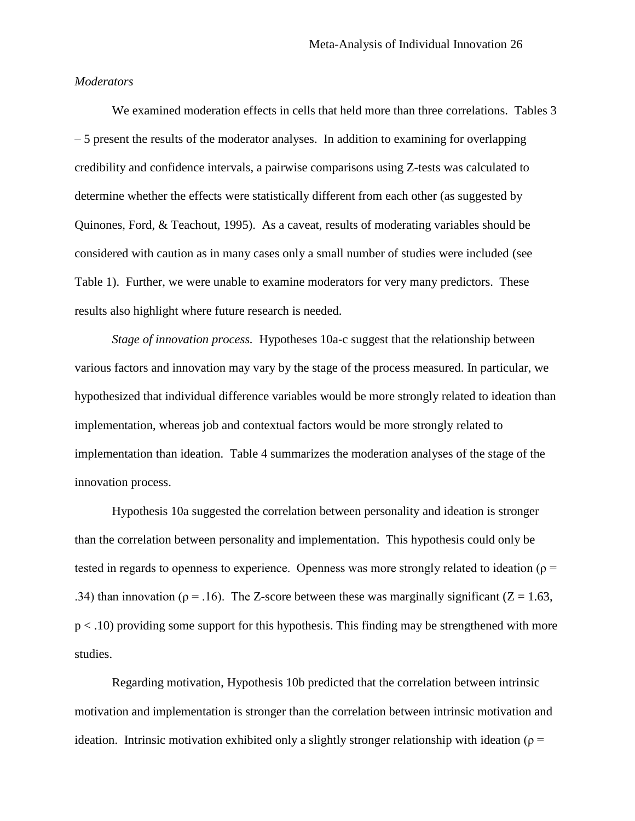### *Moderators*

We examined moderation effects in cells that held more than three correlations. Tables 3 – 5 present the results of the moderator analyses. In addition to examining for overlapping credibility and confidence intervals, a pairwise comparisons using Z-tests was calculated to determine whether the effects were statistically different from each other (as suggested by Quinones, Ford, & Teachout, 1995). As a caveat, results of moderating variables should be considered with caution as in many cases only a small number of studies were included (see Table 1). Further, we were unable to examine moderators for very many predictors. These results also highlight where future research is needed.

*Stage of innovation process.* Hypotheses 10a-c suggest that the relationship between various factors and innovation may vary by the stage of the process measured. In particular, we hypothesized that individual difference variables would be more strongly related to ideation than implementation, whereas job and contextual factors would be more strongly related to implementation than ideation. Table 4 summarizes the moderation analyses of the stage of the innovation process.

Hypothesis 10a suggested the correlation between personality and ideation is stronger than the correlation between personality and implementation. This hypothesis could only be tested in regards to openness to experience. Openness was more strongly related to ideation ( $\rho$  = .34) than innovation ( $\rho = 0.16$ ). The Z-score between these was marginally significant ( $Z = 1.63$ ,  $p < .10$ ) providing some support for this hypothesis. This finding may be strengthened with more studies.

Regarding motivation, Hypothesis 10b predicted that the correlation between intrinsic motivation and implementation is stronger than the correlation between intrinsic motivation and ideation. Intrinsic motivation exhibited only a slightly stronger relationship with ideation ( $\rho$  =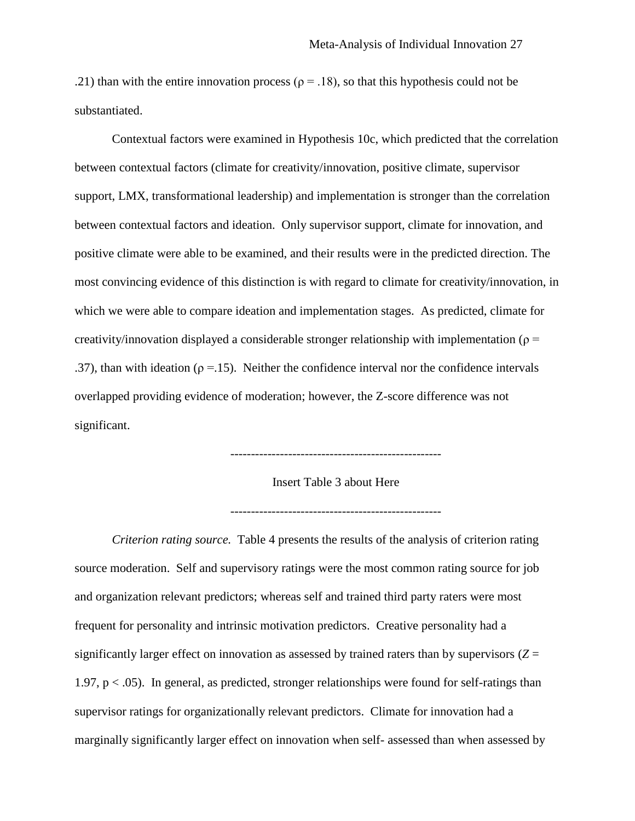.21) than with the entire innovation process ( $\rho = .18$ ), so that this hypothesis could not be substantiated.

Contextual factors were examined in Hypothesis 10c, which predicted that the correlation between contextual factors (climate for creativity/innovation, positive climate, supervisor support, LMX, transformational leadership) and implementation is stronger than the correlation between contextual factors and ideation. Only supervisor support, climate for innovation, and positive climate were able to be examined, and their results were in the predicted direction. The most convincing evidence of this distinction is with regard to climate for creativity/innovation, in which we were able to compare ideation and implementation stages. As predicted, climate for creativity/innovation displayed a considerable stronger relationship with implementation ( $\rho$  = .37), than with ideation ( $\rho = 15$ ). Neither the confidence interval nor the confidence intervals overlapped providing evidence of moderation; however, the Z-score difference was not significant.

---------------------------------------------------

Insert Table 3 about Here

---------------------------------------------------

*Criterion rating source.* Table 4 presents the results of the analysis of criterion rating source moderation. Self and supervisory ratings were the most common rating source for job and organization relevant predictors; whereas self and trained third party raters were most frequent for personality and intrinsic motivation predictors. Creative personality had a significantly larger effect on innovation as assessed by trained raters than by supervisors  $(Z =$ 1.97,  $p < .05$ ). In general, as predicted, stronger relationships were found for self-ratings than supervisor ratings for organizationally relevant predictors. Climate for innovation had a marginally significantly larger effect on innovation when self- assessed than when assessed by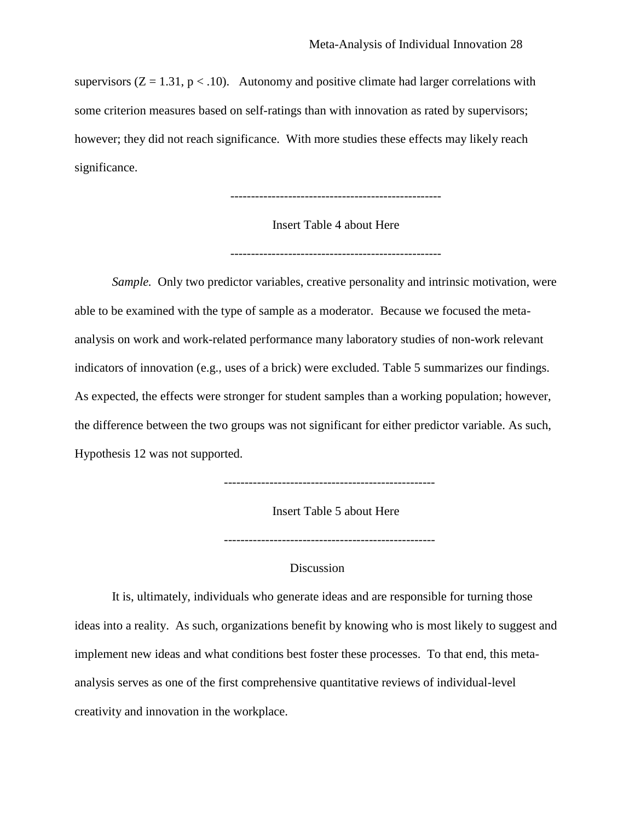supervisors  $(Z = 1.31, p < 0.10)$ . Autonomy and positive climate had larger correlations with some criterion measures based on self-ratings than with innovation as rated by supervisors; however; they did not reach significance. With more studies these effects may likely reach significance.

---------------------------------------------------

Insert Table 4 about Here

---------------------------------------------------

*Sample.* Only two predictor variables, creative personality and intrinsic motivation, were able to be examined with the type of sample as a moderator. Because we focused the metaanalysis on work and work-related performance many laboratory studies of non-work relevant indicators of innovation (e.g., uses of a brick) were excluded. Table 5 summarizes our findings. As expected, the effects were stronger for student samples than a working population; however, the difference between the two groups was not significant for either predictor variable. As such, Hypothesis 12 was not supported.

---------------------------------------------------

Insert Table 5 about Here

---------------------------------------------------

Discussion

It is, ultimately, individuals who generate ideas and are responsible for turning those ideas into a reality. As such, organizations benefit by knowing who is most likely to suggest and implement new ideas and what conditions best foster these processes. To that end, this metaanalysis serves as one of the first comprehensive quantitative reviews of individual-level creativity and innovation in the workplace.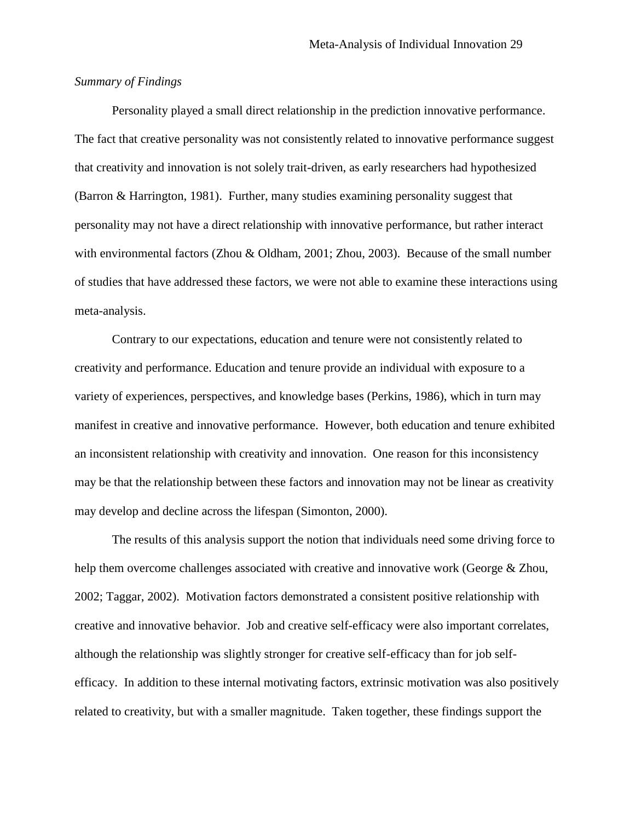# *Summary of Findings*

Personality played a small direct relationship in the prediction innovative performance. The fact that creative personality was not consistently related to innovative performance suggest that creativity and innovation is not solely trait-driven, as early researchers had hypothesized (Barron & Harrington, 1981). Further, many studies examining personality suggest that personality may not have a direct relationship with innovative performance, but rather interact with environmental factors (Zhou & Oldham, 2001; Zhou, 2003). Because of the small number of studies that have addressed these factors, we were not able to examine these interactions using meta-analysis.

Contrary to our expectations, education and tenure were not consistently related to creativity and performance. Education and tenure provide an individual with exposure to a variety of experiences, perspectives, and knowledge bases (Perkins, 1986), which in turn may manifest in creative and innovative performance. However, both education and tenure exhibited an inconsistent relationship with creativity and innovation. One reason for this inconsistency may be that the relationship between these factors and innovation may not be linear as creativity may develop and decline across the lifespan (Simonton, 2000).

The results of this analysis support the notion that individuals need some driving force to help them overcome challenges associated with creative and innovative work (George & Zhou, 2002; Taggar, 2002). Motivation factors demonstrated a consistent positive relationship with creative and innovative behavior. Job and creative self-efficacy were also important correlates, although the relationship was slightly stronger for creative self-efficacy than for job selfefficacy. In addition to these internal motivating factors, extrinsic motivation was also positively related to creativity, but with a smaller magnitude. Taken together, these findings support the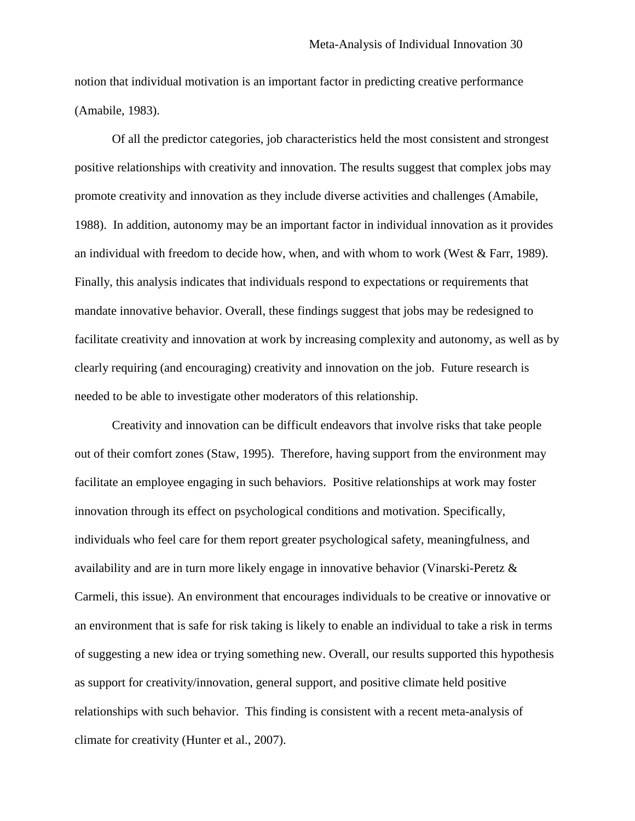notion that individual motivation is an important factor in predicting creative performance (Amabile, 1983).

Of all the predictor categories, job characteristics held the most consistent and strongest positive relationships with creativity and innovation. The results suggest that complex jobs may promote creativity and innovation as they include diverse activities and challenges (Amabile, 1988). In addition, autonomy may be an important factor in individual innovation as it provides an individual with freedom to decide how, when, and with whom to work (West & Farr, 1989). Finally, this analysis indicates that individuals respond to expectations or requirements that mandate innovative behavior. Overall, these findings suggest that jobs may be redesigned to facilitate creativity and innovation at work by increasing complexity and autonomy, as well as by clearly requiring (and encouraging) creativity and innovation on the job. Future research is needed to be able to investigate other moderators of this relationship.

Creativity and innovation can be difficult endeavors that involve risks that take people out of their comfort zones (Staw, 1995). Therefore, having support from the environment may facilitate an employee engaging in such behaviors. Positive relationships at work may foster innovation through its effect on psychological conditions and motivation. Specifically, individuals who feel care for them report greater psychological safety, meaningfulness, and availability and are in turn more likely engage in innovative behavior (Vinarski-Peretz & Carmeli, this issue). An environment that encourages individuals to be creative or innovative or an environment that is safe for risk taking is likely to enable an individual to take a risk in terms of suggesting a new idea or trying something new. Overall, our results supported this hypothesis as support for creativity/innovation, general support, and positive climate held positive relationships with such behavior. This finding is consistent with a recent meta-analysis of climate for creativity (Hunter et al., 2007).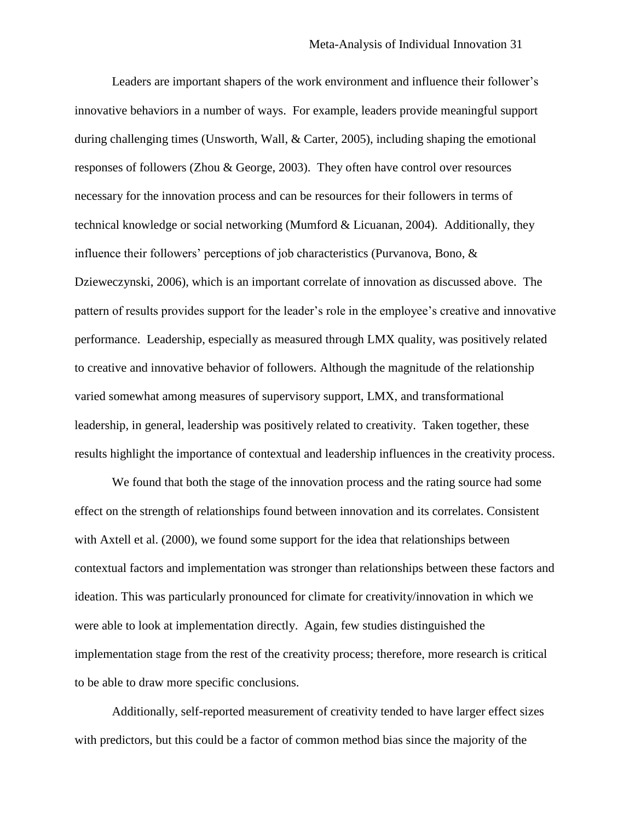Leaders are important shapers of the work environment and influence their follower's innovative behaviors in a number of ways. For example, leaders provide meaningful support during challenging times (Unsworth, Wall, & Carter, 2005), including shaping the emotional responses of followers (Zhou & George, 2003). They often have control over resources necessary for the innovation process and can be resources for their followers in terms of technical knowledge or social networking (Mumford & Licuanan, 2004). Additionally, they influence their followers' perceptions of job characteristics (Purvanova, Bono, & Dzieweczynski, 2006), which is an important correlate of innovation as discussed above. The pattern of results provides support for the leader's role in the employee's creative and innovative performance. Leadership, especially as measured through LMX quality, was positively related to creative and innovative behavior of followers. Although the magnitude of the relationship varied somewhat among measures of supervisory support, LMX, and transformational leadership, in general, leadership was positively related to creativity. Taken together, these results highlight the importance of contextual and leadership influences in the creativity process.

We found that both the stage of the innovation process and the rating source had some effect on the strength of relationships found between innovation and its correlates. Consistent with Axtell et al. (2000), we found some support for the idea that relationships between contextual factors and implementation was stronger than relationships between these factors and ideation. This was particularly pronounced for climate for creativity/innovation in which we were able to look at implementation directly. Again, few studies distinguished the implementation stage from the rest of the creativity process; therefore, more research is critical to be able to draw more specific conclusions.

Additionally, self-reported measurement of creativity tended to have larger effect sizes with predictors, but this could be a factor of common method bias since the majority of the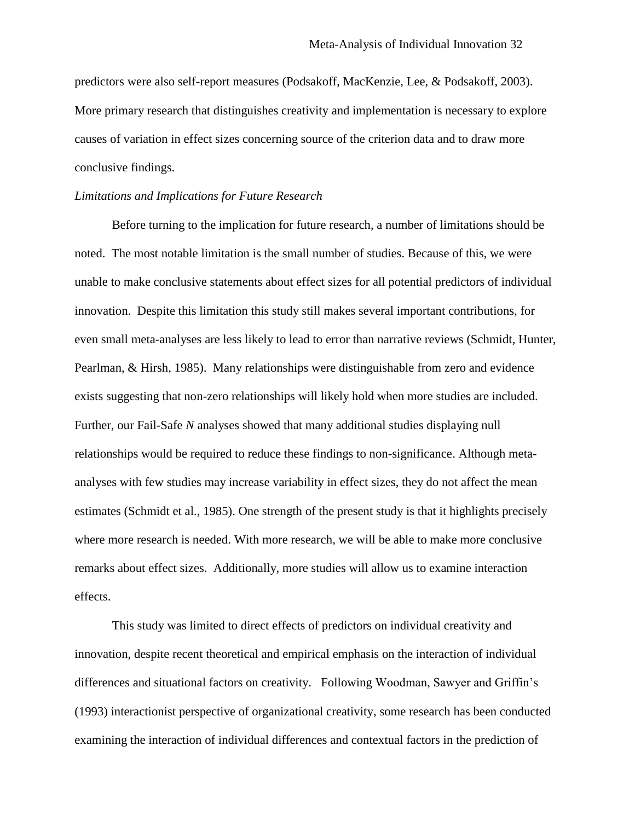predictors were also self-report measures (Podsakoff, MacKenzie, Lee, & Podsakoff, 2003). More primary research that distinguishes creativity and implementation is necessary to explore causes of variation in effect sizes concerning source of the criterion data and to draw more conclusive findings.

### *Limitations and Implications for Future Research*

Before turning to the implication for future research, a number of limitations should be noted. The most notable limitation is the small number of studies. Because of this, we were unable to make conclusive statements about effect sizes for all potential predictors of individual innovation. Despite this limitation this study still makes several important contributions, for even small meta-analyses are less likely to lead to error than narrative reviews (Schmidt, Hunter, Pearlman, & Hirsh, 1985). Many relationships were distinguishable from zero and evidence exists suggesting that non-zero relationships will likely hold when more studies are included. Further, our Fail-Safe *N* analyses showed that many additional studies displaying null relationships would be required to reduce these findings to non-significance. Although metaanalyses with few studies may increase variability in effect sizes, they do not affect the mean estimates (Schmidt et al., 1985). One strength of the present study is that it highlights precisely where more research is needed. With more research, we will be able to make more conclusive remarks about effect sizes. Additionally, more studies will allow us to examine interaction effects.

This study was limited to direct effects of predictors on individual creativity and innovation, despite recent theoretical and empirical emphasis on the interaction of individual differences and situational factors on creativity. Following Woodman, Sawyer and Griffin's (1993) interactionist perspective of organizational creativity, some research has been conducted examining the interaction of individual differences and contextual factors in the prediction of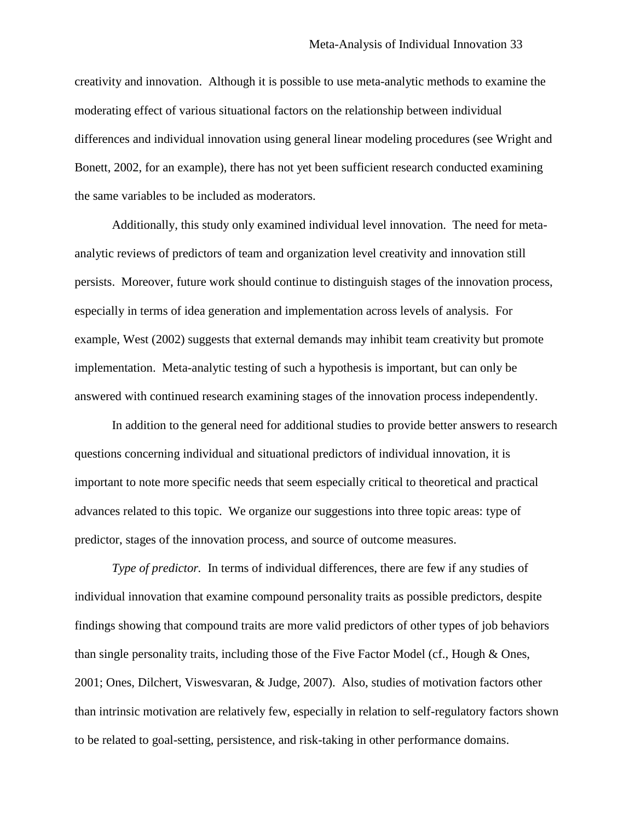creativity and innovation. Although it is possible to use meta-analytic methods to examine the moderating effect of various situational factors on the relationship between individual differences and individual innovation using general linear modeling procedures (see Wright and Bonett, 2002, for an example), there has not yet been sufficient research conducted examining the same variables to be included as moderators.

Additionally, this study only examined individual level innovation. The need for metaanalytic reviews of predictors of team and organization level creativity and innovation still persists. Moreover, future work should continue to distinguish stages of the innovation process, especially in terms of idea generation and implementation across levels of analysis. For example, West (2002) suggests that external demands may inhibit team creativity but promote implementation. Meta-analytic testing of such a hypothesis is important, but can only be answered with continued research examining stages of the innovation process independently.

In addition to the general need for additional studies to provide better answers to research questions concerning individual and situational predictors of individual innovation, it is important to note more specific needs that seem especially critical to theoretical and practical advances related to this topic. We organize our suggestions into three topic areas: type of predictor, stages of the innovation process, and source of outcome measures.

*Type of predictor.* In terms of individual differences, there are few if any studies of individual innovation that examine compound personality traits as possible predictors, despite findings showing that compound traits are more valid predictors of other types of job behaviors than single personality traits, including those of the Five Factor Model (cf., Hough & Ones, 2001; Ones, Dilchert, Viswesvaran, & Judge, 2007). Also, studies of motivation factors other than intrinsic motivation are relatively few, especially in relation to self-regulatory factors shown to be related to goal-setting, persistence, and risk-taking in other performance domains.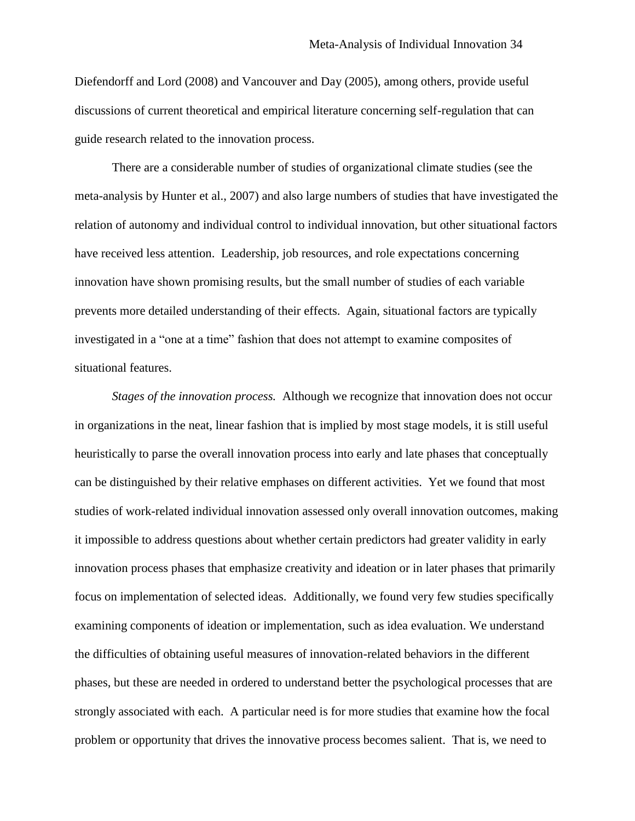Diefendorff and Lord (2008) and Vancouver and Day (2005), among others, provide useful discussions of current theoretical and empirical literature concerning self-regulation that can guide research related to the innovation process.

There are a considerable number of studies of organizational climate studies (see the meta-analysis by Hunter et al., 2007) and also large numbers of studies that have investigated the relation of autonomy and individual control to individual innovation, but other situational factors have received less attention. Leadership, job resources, and role expectations concerning innovation have shown promising results, but the small number of studies of each variable prevents more detailed understanding of their effects. Again, situational factors are typically investigated in a "one at a time" fashion that does not attempt to examine composites of situational features.

*Stages of the innovation process.* Although we recognize that innovation does not occur in organizations in the neat, linear fashion that is implied by most stage models, it is still useful heuristically to parse the overall innovation process into early and late phases that conceptually can be distinguished by their relative emphases on different activities. Yet we found that most studies of work-related individual innovation assessed only overall innovation outcomes, making it impossible to address questions about whether certain predictors had greater validity in early innovation process phases that emphasize creativity and ideation or in later phases that primarily focus on implementation of selected ideas. Additionally, we found very few studies specifically examining components of ideation or implementation, such as idea evaluation. We understand the difficulties of obtaining useful measures of innovation-related behaviors in the different phases, but these are needed in ordered to understand better the psychological processes that are strongly associated with each. A particular need is for more studies that examine how the focal problem or opportunity that drives the innovative process becomes salient. That is, we need to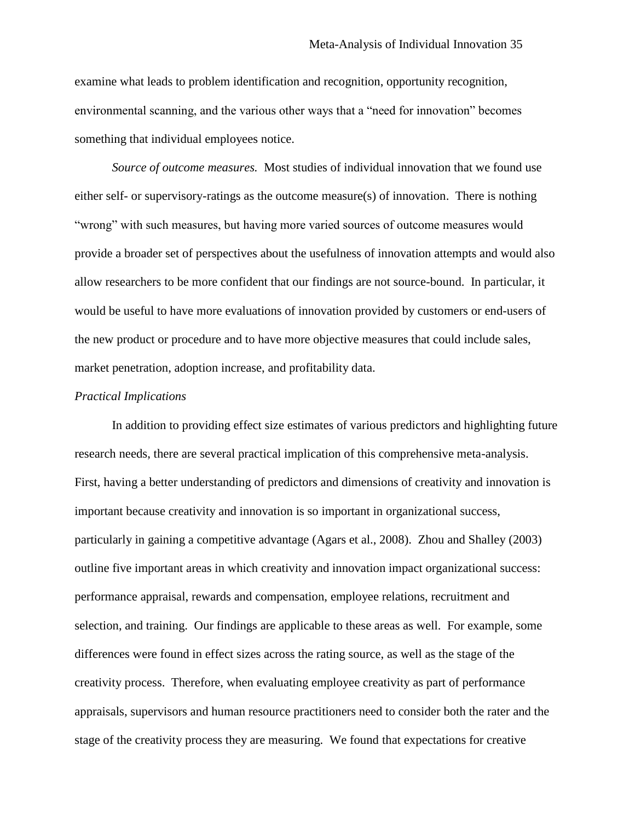examine what leads to problem identification and recognition, opportunity recognition, environmental scanning, and the various other ways that a "need for innovation" becomes something that individual employees notice.

*Source of outcome measures.* Most studies of individual innovation that we found use either self- or supervisory-ratings as the outcome measure(s) of innovation. There is nothing "wrong" with such measures, but having more varied sources of outcome measures would provide a broader set of perspectives about the usefulness of innovation attempts and would also allow researchers to be more confident that our findings are not source-bound. In particular, it would be useful to have more evaluations of innovation provided by customers or end-users of the new product or procedure and to have more objective measures that could include sales, market penetration, adoption increase, and profitability data.

# *Practical Implications*

In addition to providing effect size estimates of various predictors and highlighting future research needs, there are several practical implication of this comprehensive meta-analysis. First, having a better understanding of predictors and dimensions of creativity and innovation is important because creativity and innovation is so important in organizational success, particularly in gaining a competitive advantage (Agars et al., 2008). Zhou and Shalley (2003) outline five important areas in which creativity and innovation impact organizational success: performance appraisal, rewards and compensation, employee relations, recruitment and selection, and training. Our findings are applicable to these areas as well. For example, some differences were found in effect sizes across the rating source, as well as the stage of the creativity process. Therefore, when evaluating employee creativity as part of performance appraisals, supervisors and human resource practitioners need to consider both the rater and the stage of the creativity process they are measuring. We found that expectations for creative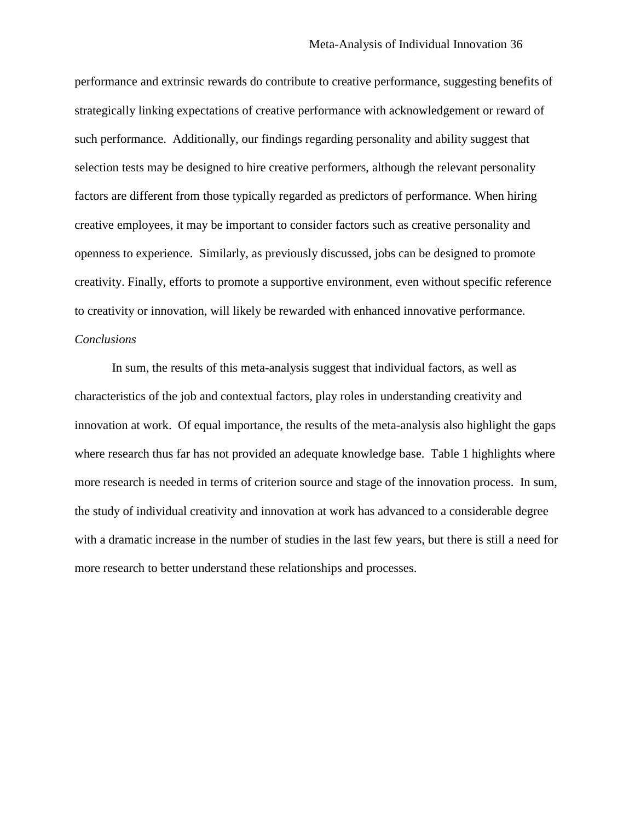performance and extrinsic rewards do contribute to creative performance, suggesting benefits of strategically linking expectations of creative performance with acknowledgement or reward of such performance. Additionally, our findings regarding personality and ability suggest that selection tests may be designed to hire creative performers, although the relevant personality factors are different from those typically regarded as predictors of performance. When hiring creative employees, it may be important to consider factors such as creative personality and openness to experience. Similarly, as previously discussed, jobs can be designed to promote creativity. Finally, efforts to promote a supportive environment, even without specific reference to creativity or innovation, will likely be rewarded with enhanced innovative performance. *Conclusions*

In sum, the results of this meta-analysis suggest that individual factors, as well as characteristics of the job and contextual factors, play roles in understanding creativity and innovation at work. Of equal importance, the results of the meta-analysis also highlight the gaps where research thus far has not provided an adequate knowledge base. Table 1 highlights where more research is needed in terms of criterion source and stage of the innovation process. In sum, the study of individual creativity and innovation at work has advanced to a considerable degree with a dramatic increase in the number of studies in the last few years, but there is still a need for more research to better understand these relationships and processes.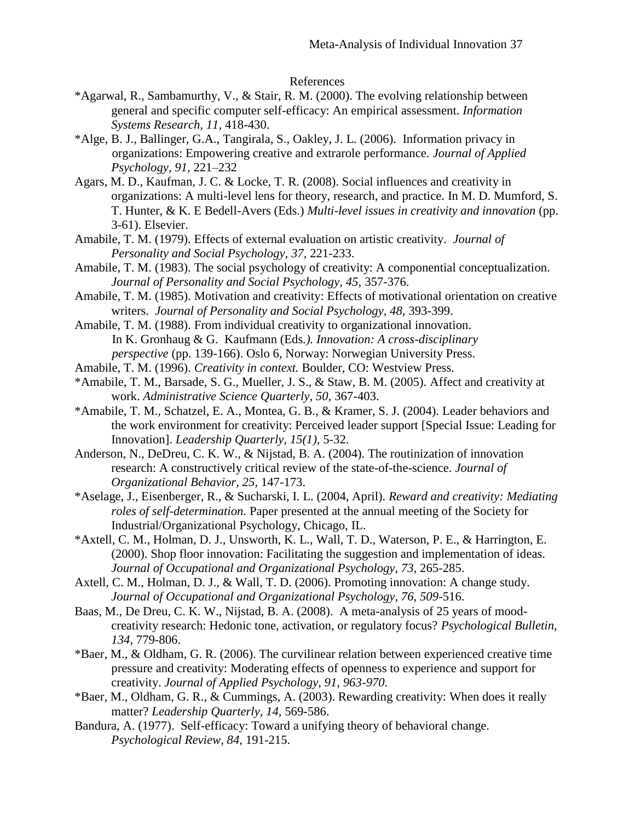### References

- \*Agarwal, R., Sambamurthy, V., & Stair, R. M. (2000). The evolving relationship between general and specific computer self-efficacy: An empirical assessment. *Information Systems Research, 11,* 418-430.
- \*Alge, B. J., Ballinger, G.A., Tangirala, S., Oakley, J. L. (2006). Information privacy in organizations: Empowering creative and extrarole performance. *Journal of Applied Psychology, 91,* 221–232
- Agars, M. D., Kaufman, J. C. & Locke, T. R. (2008). Social influences and creativity in organizations: A multi-level lens for theory, research, and practice. In M. D. Mumford, S. T. Hunter, & K. E Bedell-Avers (Eds.) *Multi-level issues in creativity and innovation* (pp. 3-61). Elsevier.
- Amabile, T. M. (1979). Effects of external evaluation on artistic creativity. *Journal of Personality and Social Psychology, 37,* 221-233.
- Amabile, T. M. (1983). The social psychology of creativity: A componential conceptualization. *Journal of Personality and Social Psychology, 45,* 357-376.
- Amabile, T. M. (1985). Motivation and creativity: Effects of motivational orientation on creative writers. *Journal of Personality and Social Psychology, 48,* 393-399.
- Amabile, T. M. (1988). From individual creativity to organizational innovation. In K. Gronhaug & G. Kaufmann (Eds*.). Innovation: A cross-disciplinary perspective* (pp. 139-166). Oslo 6, Norway: Norwegian University Press.
- Amabile, T. M. (1996). *Creativity in context.* Boulder, CO: Westview Press.
- \*Amabile, T. M., Barsade, S. G., Mueller, J. S., & Staw, B. M. (2005). Affect and creativity at work. *Administrative Science Quarterly, 50,* 367-403.
- \*Amabile, T. M., Schatzel, E. A., Montea, G. B., & Kramer, S. J. (2004). Leader behaviors and the work environment for creativity: Perceived leader support [Special Issue: Leading for Innovation]. *Leadership Quarterly, 15(1),* 5-32.
- Anderson, N., DeDreu, C. K. W., & Nijstad, B. A. (2004). The routinization of innovation research: A constructively critical review of the state-of-the-science. *Journal of Organizational Behavior, 25,* 147-173.
- \*Aselage, J., Eisenberger, R., & Sucharski, I. L. (2004, April). *Reward and creativity: Mediating roles of self-determination.* Paper presented at the annual meeting of the Society for Industrial/Organizational Psychology, Chicago, IL.
- \*Axtell, C. M., Holman, D. J., Unsworth, K. L., Wall, T. D., Waterson, P. E., & Harrington, E. (2000). Shop floor innovation: Facilitating the suggestion and implementation of ideas. *Journal of Occupational and Organizational Psychology, 73,* 265-285.
- Axtell, C. M., Holman, D. J., & Wall, T. D. (2006). Promoting innovation: A change study. *Journal of Occupational and Organizational Psychology, 76, 509*-516.
- Baas, M., De Dreu, C. K. W., Nijstad, B. A. (2008). A meta-analysis of 25 years of moodcreativity research: Hedonic tone, activation, or regulatory focus? *Psychological Bulletin, 134,* 779-806.
- \*Baer, M., & Oldham, G. R. (2006). The curvilinear relation between experienced creative time pressure and creativity: Moderating effects of openness to experience and support for creativity. *Journal of Applied Psychology, 91, 963-970.*
- \*Baer, M., Oldham, G. R., & Cummings, A. (2003). Rewarding creativity: When does it really matter? *Leadership Quarterly, 14,* 569-586.
- Bandura, A. (1977). Self-efficacy: Toward a unifying theory of behavioral change. *Psychological Review, 84,* 191-215.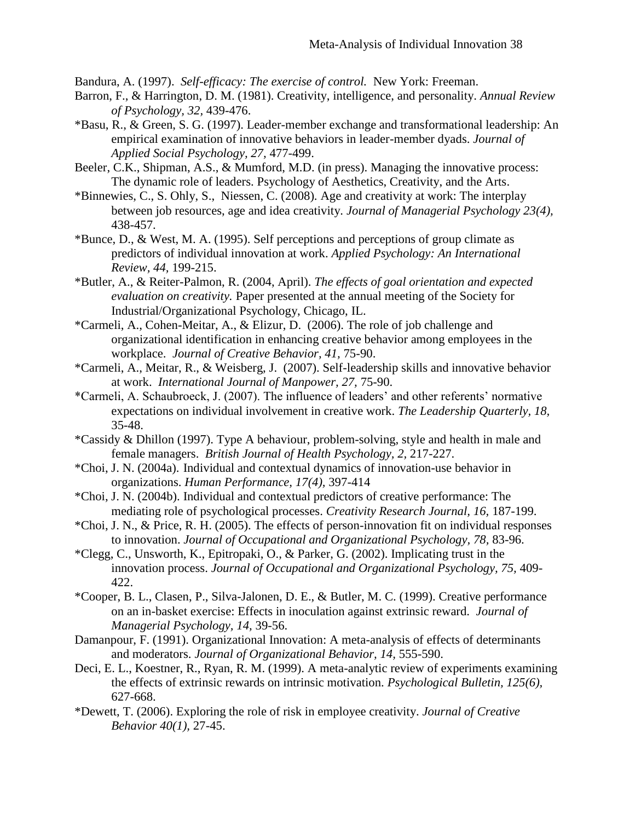Bandura, A. (1997). *Self-efficacy: The exercise of control.* New York: Freeman.

- Barron, F., & Harrington, D. M. (1981). Creativity, intelligence, and personality. *Annual Review of Psychology, 32,* 439-476.
- \*Basu, R., & Green, S. G. (1997). Leader-member exchange and transformational leadership: An empirical examination of innovative behaviors in leader-member dyads. *Journal of Applied Social Psychology, 27,* 477-499.
- Beeler, C.K., Shipman, A.S., & Mumford, M.D. (in press). Managing the innovative process: The dynamic role of leaders. Psychology of Aesthetics, Creativity, and the Arts.
- \*Binnewies, C., S. Ohly, S., Niessen, C. (2008). Age and creativity at work: The interplay between job resources, age and idea creativity. *Journal of Managerial Psychology 23(4),*  438-457.
- \*Bunce, D., & West, M. A. (1995). Self perceptions and perceptions of group climate as predictors of individual innovation at work. *Applied Psychology: An International Review, 44,* 199-215.
- \*Butler, A., & Reiter-Palmon, R. (2004, April). *The effects of goal orientation and expected evaluation on creativity.* Paper presented at the annual meeting of the Society for Industrial/Organizational Psychology, Chicago, IL.
- \*Carmeli, A., Cohen-Meitar, A., & Elizur, D. (2006). The role of job challenge and organizational identification in enhancing creative behavior among employees in the workplace. *Journal of Creative Behavior, 41,* 75-90.
- \*Carmeli, A., Meitar, R., & Weisberg, J. (2007). Self-leadership skills and innovative behavior at work. *International Journal of Manpower, 27,* 75-90.
- \*Carmeli, A. Schaubroeck, J. (2007). The influence of leaders' and other referents' normative expectations on individual involvement in creative work. *The Leadership Quarterly, 18,* 35-48.
- \*Cassidy & Dhillon (1997). Type A behaviour, problem-solving, style and health in male and female managers. *British Journal of Health Psychology, 2,* 217-227.
- \*Choi, J. N. (2004a). Individual and contextual dynamics of innovation-use behavior in organizations. *Human Performance, 17(4),* 397-414
- \*Choi, J. N. (2004b). Individual and contextual predictors of creative performance: The mediating role of psychological processes. *Creativity Research Journal, 16,* 187-199.
- \*Choi, J. N., & Price, R. H. (2005). The effects of person-innovation fit on individual responses to innovation. *Journal of Occupational and Organizational Psychology, 78,* 83-96.
- \*Clegg, C., Unsworth, K., Epitropaki, O., & Parker, G. (2002). Implicating trust in the innovation process. *Journal of Occupational and Organizational Psychology, 75,* 409- 422.
- \*Cooper, B. L., Clasen, P., Silva-Jalonen, D. E., & Butler, M. C. (1999). Creative performance on an in-basket exercise: Effects in inoculation against extrinsic reward. *Journal of Managerial Psychology, 14,* 39-56.
- Damanpour, F. (1991). Organizational Innovation: A meta-analysis of effects of determinants and moderators. *Journal of Organizational Behavior, 14,* 555-590.
- Deci, E. L., Koestner, R., Ryan, R. M. (1999). A meta-analytic review of experiments examining the effects of extrinsic rewards on intrinsic motivation. *Psychological Bulletin, 125(6),*  627-668.
- \*Dewett, T. (2006). Exploring the role of risk in employee creativity. *Journal of Creative Behavior 40(1),* 27-45.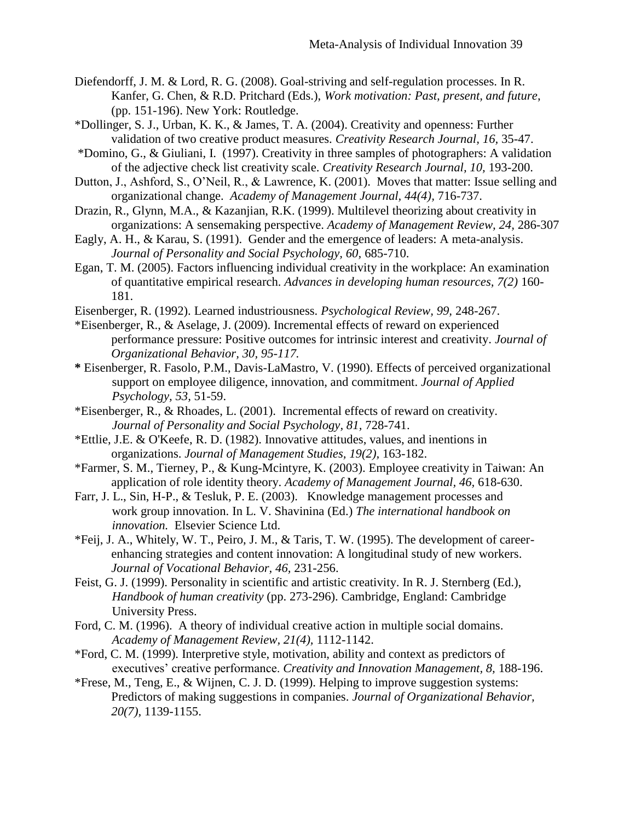- Diefendorff, J. M. & Lord, R. G. (2008). Goal-striving and self-regulation processes. In R. Kanfer, G. Chen, & R.D. Pritchard (Eds.), *Work motivation: Past, present, and future*, (pp. 151-196). New York: Routledge.
- \*Dollinger, S. J., Urban, K. K., & James, T. A. (2004). Creativity and openness: Further validation of two creative product measures. *Creativity Research Journal, 16,* 35-47.
- \*Domino, G., & Giuliani, I. (1997). Creativity in three samples of photographers: A validation of the adjective check list creativity scale. *Creativity Research Journal, 10,* 193-200.
- Dutton, J., Ashford, S., O'Neil, R., & Lawrence, K. (2001). Moves that matter: Issue selling and organizational change. *Academy of Management Journal, 44(4),* 716-737.
- Drazin, R., Glynn, M.A., & Kazanjian, R.K. (1999). Multilevel theorizing about creativity in organizations: A sensemaking perspective. *Academy of Management Review, 24,* 286-307
- Eagly, A. H., & Karau, S. (1991). Gender and the emergence of leaders: A meta-analysis. *Journal of Personality and Social Psychology, 60,* 685-710.
- Egan, T. M. (2005). Factors influencing individual creativity in the workplace: An examination of quantitative empirical research. *Advances in developing human resources, 7(2)* 160- 181.
- Eisenberger, R. (1992). Learned industriousness. *Psychological Review, 99,* 248-267.
- \*Eisenberger, R., & Aselage, J. (2009). Incremental effects of reward on experienced performance pressure: Positive outcomes for intrinsic interest and creativity. *Journal of Organizational Behavior, 30, 95-117.*
- **\*** Eisenberger, R. Fasolo, P.M., Davis-LaMastro, V. (1990). Effects of perceived organizational support on employee diligence, innovation, and commitment. *Journal of Applied Psychology, 53,* 51-59.
- \*Eisenberger, R., & Rhoades, L. (2001). Incremental effects of reward on creativity. *Journal of Personality and Social Psychology, 81,* 728-741.
- \*Ettlie, J.E. & O'Keefe, R. D. (1982). Innovative attitudes, values, and inentions in organizations. *Journal of Management Studies, 19(2),* 163-182.
- \*Farmer, S. M., Tierney, P., & Kung-Mcintyre, K. (2003). Employee creativity in Taiwan: An application of role identity theory. *Academy of Management Journal, 46,* 618-630.
- Farr, J. L., Sin, H-P., & Tesluk, P. E. (2003). Knowledge management processes and work group innovation. In L. V. Shavinina (Ed.) *The international handbook on innovation.* Elsevier Science Ltd.
- \*Feij, J. A., Whitely, W. T., Peiro, J. M., & Taris, T. W. (1995). The development of careerenhancing strategies and content innovation: A longitudinal study of new workers. *Journal of Vocational Behavior, 46,* 231-256.
- Feist, G. J. (1999). Personality in scientific and artistic creativity. In R. J. Sternberg (Ed.), *Handbook of human creativity* (pp. 273-296). Cambridge, England: Cambridge University Press.
- Ford, C. M. (1996). A theory of individual creative action in multiple social domains. *Academy of Management Review, 21(4),* 1112-1142.
- \*Ford, C. M. (1999). Interpretive style, motivation, ability and context as predictors of executives' creative performance. *Creativity and Innovation Management, 8,* 188-196.
- \*Frese, M., Teng, E., & Wijnen, C. J. D. (1999). Helping to improve suggestion systems: Predictors of making suggestions in companies. *Journal of Organizational Behavior, 20(7),* 1139-1155.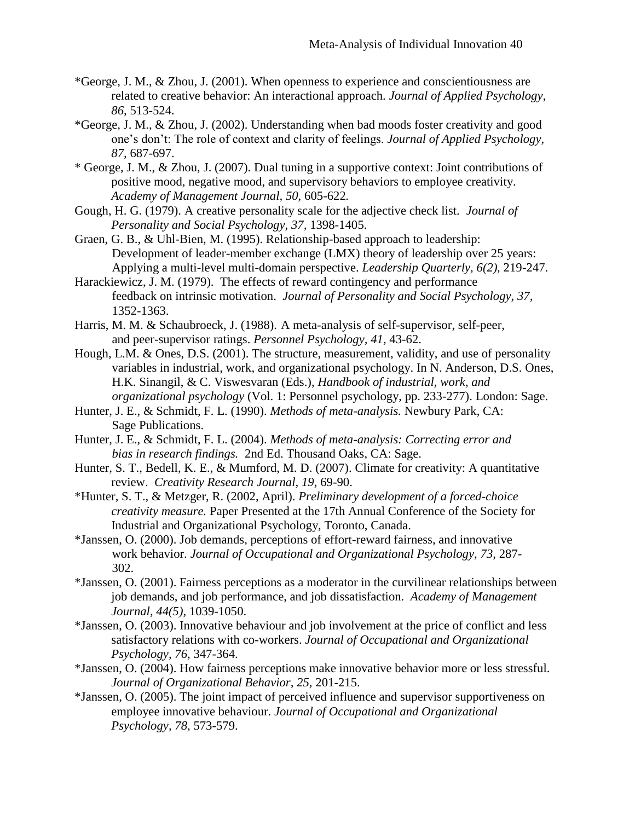- \*George, J. M., & Zhou, J. (2001). When openness to experience and conscientiousness are related to creative behavior: An interactional approach. *Journal of Applied Psychology, 86,* 513-524.
- \*George, J. M., & Zhou, J. (2002). Understanding when bad moods foster creativity and good one's don't: The role of context and clarity of feelings. *Journal of Applied Psychology, 87,* 687-697.
- \* George, J. M., & Zhou, J. (2007). Dual tuning in a supportive context: Joint contributions of positive mood, negative mood, and supervisory behaviors to employee creativity. *Academy of Management Journal, 50,* 605-622*.*
- Gough, H. G. (1979). A creative personality scale for the adjective check list. *Journal of Personality and Social Psychology, 37,* 1398-1405.
- Graen, G. B., & Uhl-Bien, M. (1995). Relationship-based approach to leadership: Development of leader-member exchange (LMX) theory of leadership over 25 years: Applying a multi-level multi-domain perspective. *Leadership Quarterly, 6(2),* 219-247.
- Harackiewicz, J. M. (1979). The effects of reward contingency and performance feedback on intrinsic motivation. *Journal of Personality and Social Psychology, 37,*  1352-1363.
- Harris, M. M. & Schaubroeck, J. (1988). A meta-analysis of self-supervisor, self-peer, and peer-supervisor ratings. *Personnel Psychology, 41,* 43-62.
- Hough, L.M. & Ones, D.S. (2001). The structure, measurement, validity, and use of personality variables in industrial, work, and organizational psychology. In N. Anderson, D.S. Ones, H.K. Sinangil, & C. Viswesvaran (Eds.), *Handbook of industrial, work, and organizational psychology* (Vol. 1: Personnel psychology, pp. 233-277). London: Sage.
- Hunter, J. E., & Schmidt, F. L. (1990). *Methods of meta-analysis.* Newbury Park, CA: Sage Publications.
- Hunter, J. E., & Schmidt, F. L. (2004). *Methods of meta-analysis: Correcting error and bias in research findings.* 2nd Ed. Thousand Oaks, CA: Sage.
- Hunter, S. T., Bedell, K. E., & Mumford, M. D. (2007). Climate for creativity: A quantitative review. *Creativity Research Journal, 19,* 69-90.
- \*Hunter, S. T., & Metzger, R. (2002, April). *Preliminary development of a forced-choice creativity measure.* Paper Presented at the 17th Annual Conference of the Society for Industrial and Organizational Psychology, Toronto, Canada.
- \*Janssen, O. (2000). Job demands, perceptions of effort-reward fairness, and innovative work behavior. *Journal of Occupational and Organizational Psychology, 73,* 287- 302.
- \*Janssen, O. (2001). Fairness perceptions as a moderator in the curvilinear relationships between job demands, and job performance, and job dissatisfaction. *Academy of Management Journal, 44(5),* 1039-1050.
- \*Janssen, O. (2003). Innovative behaviour and job involvement at the price of conflict and less satisfactory relations with co-workers. *Journal of Occupational and Organizational Psychology, 76,* 347-364.
- \*Janssen, O. (2004). How fairness perceptions make innovative behavior more or less stressful. *Journal of Organizational Behavior, 25,* 201-215.
- \*Janssen, O. (2005). The joint impact of perceived influence and supervisor supportiveness on employee innovative behaviour. *Journal of Occupational and Organizational Psychology, 78,* 573-579.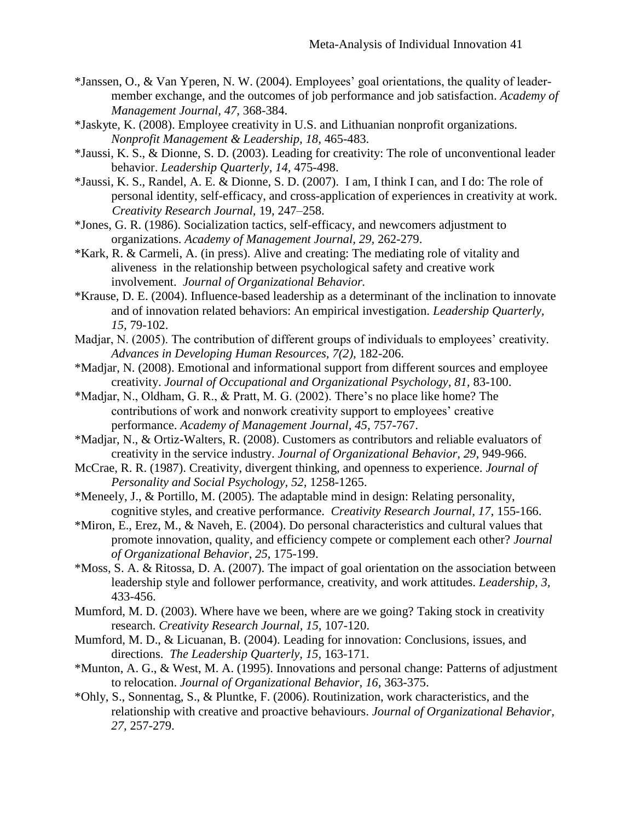- \*Janssen, O., & Van Yperen, N. W. (2004). Employees' goal orientations, the quality of leadermember exchange, and the outcomes of job performance and job satisfaction. *Academy of Management Journal, 47,* 368-384.
- \*Jaskyte, K. (2008). Employee creativity in U.S. and Lithuanian nonprofit organizations. *Nonprofit Management & Leadership, 18,* 465-483.
- \*Jaussi, K. S., & Dionne, S. D. (2003). Leading for creativity: The role of unconventional leader behavior. *Leadership Quarterly, 14,* 475-498.
- \*Jaussi, K. S., Randel, A. E. & Dionne, S. D. (2007). I am, I think I can, and I do: The role of personal identity, self-efficacy, and cross-application of experiences in creativity at work. *Creativity Research Journal,* 19, 247–258.
- \*Jones, G. R. (1986). Socialization tactics, self-efficacy, and newcomers adjustment to organizations. *Academy of Management Journal, 29,* 262-279.
- \*Kark, R. & Carmeli, A. (in press). Alive and creating: The mediating role of vitality and aliveness in the relationship between psychological safety and creative work involvement. *Journal of Organizational Behavior.*
- \*Krause, D. E. (2004). Influence-based leadership as a determinant of the inclination to innovate and of innovation related behaviors: An empirical investigation. *Leadership Quarterly, 15,* 79-102.
- Madjar, N. (2005). The contribution of different groups of individuals to employees' creativity*. Advances in Developing Human Resources, 7(2),* 182-206.
- \*Madjar, N. (2008). Emotional and informational support from different sources and employee creativity. *Journal of Occupational and Organizational Psychology, 81,* 83-100.
- \*Madjar, N., Oldham, G. R., & Pratt, M. G. (2002). There's no place like home? The contributions of work and nonwork creativity support to employees' creative performance. *Academy of Management Journal, 45,* 757-767.
- \*Madjar, N., & Ortiz-Walters, R. (2008). Customers as contributors and reliable evaluators of creativity in the service industry. *Journal of Organizational Behavior, 29,* 949-966.
- McCrae, R. R. (1987). Creativity, divergent thinking, and openness to experience. *Journal of Personality and Social Psychology, 52,* 1258-1265.
- \*Meneely, J., & Portillo, M. (2005). The adaptable mind in design: Relating personality, cognitive styles, and creative performance. *Creativity Research Journal, 17,* 155-166.
- \*Miron, E., Erez, M., & Naveh, E. (2004). Do personal characteristics and cultural values that promote innovation, quality, and efficiency compete or complement each other? *Journal of Organizational Behavior*, *25*, 175-199.
- \*Moss, S. A. & Ritossa, D. A. (2007). The impact of goal orientation on the association between leadership style and follower performance, creativity, and work attitudes. *Leadership, 3,* 433-456.
- Mumford, M. D. (2003). Where have we been, where are we going? Taking stock in creativity research. *Creativity Research Journal, 15,* 107-120.
- Mumford, M. D., & Licuanan, B. (2004). Leading for innovation: Conclusions, issues, and directions. *The Leadership Quarterly, 15,* 163-171.
- \*Munton, A. G., & West, M. A. (1995). Innovations and personal change: Patterns of adjustment to relocation. *Journal of Organizational Behavior, 16,* 363-375.
- \*Ohly, S., Sonnentag, S., & Pluntke, F. (2006). Routinization, work characteristics, and the relationship with creative and proactive behaviours. *Journal of Organizational Behavior, 27,* 257-279.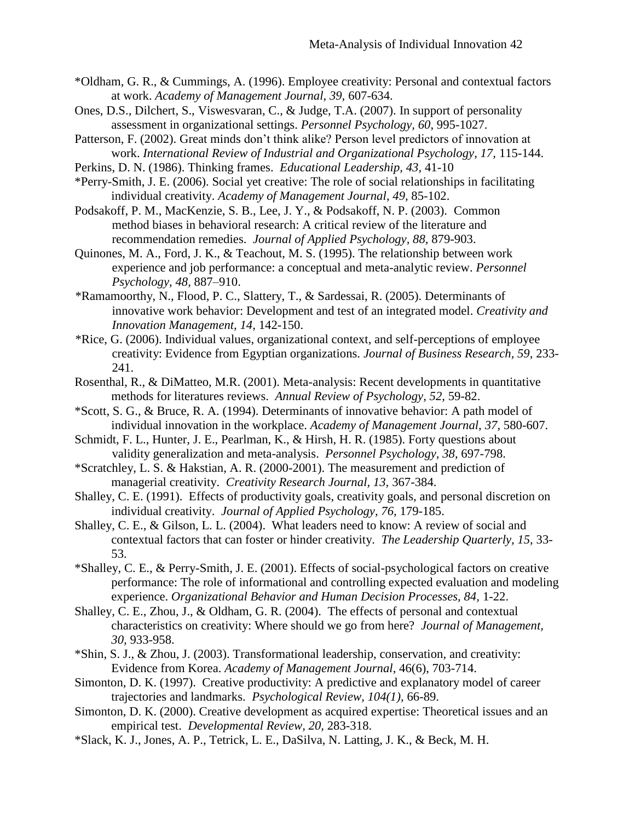- \*Oldham, G. R., & Cummings, A. (1996). Employee creativity: Personal and contextual factors at work. *Academy of Management Journal, 39,* 607-634.
- Ones, D.S., Dilchert, S., Viswesvaran, C., & Judge, T.A. (2007). In support of personality assessment in organizational settings. *Personnel Psychology, 60*, 995-1027.
- Patterson, F. (2002). Great minds don't think alike? Person level predictors of innovation at work. *International Review of Industrial and Organizational Psychology, 17, 115-144.*
- Perkins, D. N. (1986). Thinking frames. *Educational Leadership, 43,* 41-10
- \*Perry-Smith, J. E. (2006). Social yet creative: The role of social relationships in facilitating individual creativity. *Academy of Management Journal*, *49,* 85-102.
- Podsakoff, P. M., MacKenzie, S. B., Lee, J. Y., & Podsakoff, N. P. (2003). Common method biases in behavioral research: A critical review of the literature and recommendation remedies. *Journal of Applied Psychology, 88,* 879-903.
- Quinones, M. A., Ford, J. K., & Teachout, M. S. (1995). The relationship between work experience and job performance: a conceptual and meta-analytic review. *Personnel Psychology, 48,* 887–910.
- \*Ramamoorthy, N., Flood, P. C., Slattery, T., & Sardessai, R. (2005). Determinants of innovative work behavior: Development and test of an integrated model. *Creativity and Innovation Management, 14,* 142-150.
- \*Rice, G. (2006). Individual values, organizational context, and self-perceptions of employee creativity: Evidence from Egyptian organizations. *Journal of Business Research, 59,* 233- 241.
- Rosenthal, R., & DiMatteo, M.R. (2001). Meta-analysis: Recent developments in quantitative methods for literatures reviews. *Annual Review of Psychology, 52,* 59-82.
- \*Scott, S. G., & Bruce, R. A. (1994). Determinants of innovative behavior: A path model of individual innovation in the workplace. *Academy of Management Journal, 37,* 580-607.
- Schmidt, F. L., Hunter, J. E., Pearlman, K., & Hirsh, H. R. (1985). Forty questions about validity generalization and meta-analysis. *Personnel Psychology, 38,* 697-798.
- \*Scratchley, L. S. & Hakstian, A. R. (2000-2001). The measurement and prediction of managerial creativity. *Creativity Research Journal, 13,* 367-384.
- Shalley, C. E. (1991). Effects of productivity goals, creativity goals, and personal discretion on individual creativity. *Journal of Applied Psychology, 76,* 179-185.
- Shalley, C. E., & Gilson, L. L. (2004). What leaders need to know: A review of social and contextual factors that can foster or hinder creativity. *The Leadership Quarterly, 15,* 33- 53.
- \*Shalley, C. E., & Perry-Smith, J. E. (2001). Effects of social-psychological factors on creative performance: The role of informational and controlling expected evaluation and modeling experience. *Organizational Behavior and Human Decision Processes, 84,* 1-22.
- Shalley, C. E., Zhou, J., & Oldham, G. R. (2004). The effects of personal and contextual characteristics on creativity: Where should we go from here? *Journal of Management, 30,* 933-958.
- \*Shin, S. J., & Zhou, J. (2003). Transformational leadership, conservation, and creativity: Evidence from Korea. *Academy of Management Journal*, 46(6), 703-714.
- Simonton, D. K. (1997). Creative productivity: A predictive and explanatory model of career trajectories and landmarks. *Psychological Review, 104(1),* 66-89.
- Simonton, D. K. (2000). Creative development as acquired expertise: Theoretical issues and an empirical test. *Developmental Review, 20,* 283-318.
- \*Slack, K. J., Jones, A. P., Tetrick, L. E., DaSilva, N. Latting, J. K., & Beck, M. H.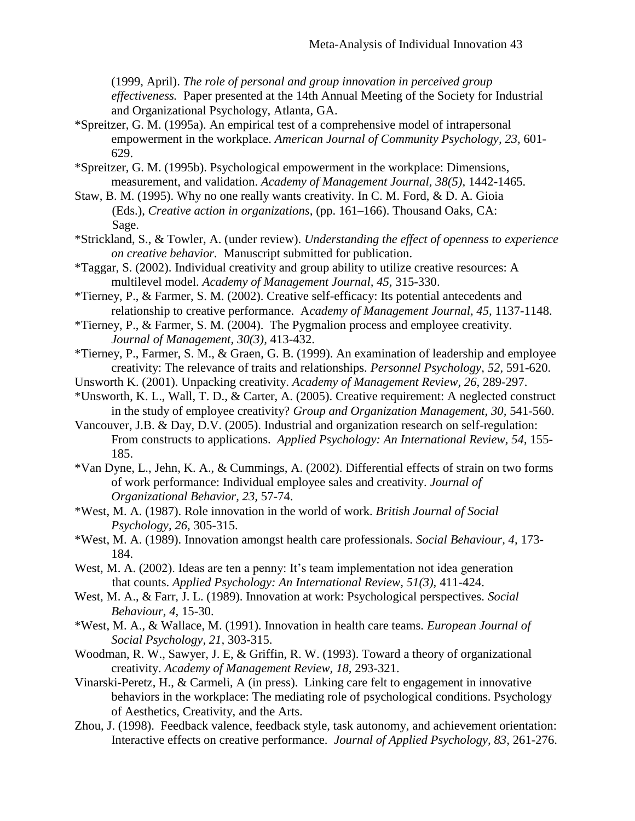(1999, April). *The role of personal and group innovation in perceived group effectiveness.* Paper presented at the 14th Annual Meeting of the Society for Industrial and Organizational Psychology, Atlanta, GA.

- \*Spreitzer, G. M. (1995a). An empirical test of a comprehensive model of intrapersonal empowerment in the workplace. *American Journal of Community Psychology, 23,* 601- 629.
- \*Spreitzer, G. M. (1995b). Psychological empowerment in the workplace: Dimensions, measurement, and validation. *Academy of Management Journal, 38(5),* 1442-1465.
- Staw, B. M. (1995). Why no one really wants creativity. In C. M. Ford, & D. A. Gioia (Eds.), *Creative action in organizations,* (pp. 161–166). Thousand Oaks, CA: Sage.
- \*Strickland, S., & Towler, A. (under review). *Understanding the effect of openness to experience on creative behavior.* Manuscript submitted for publication.
- \*Taggar, S. (2002). Individual creativity and group ability to utilize creative resources: A multilevel model. *Academy of Management Journal, 45,* 315-330.
- \*Tierney, P., & Farmer, S. M. (2002). Creative self-efficacy: Its potential antecedents and relationship to creative performance. A*cademy of Management Journal, 45,* 1137-1148.
- \*Tierney, P., & Farmer, S. M. (2004). The Pygmalion process and employee creativity. *Journal of Management, 30(3),* 413-432.
- \*Tierney, P., Farmer, S. M., & Graen, G. B. (1999). An examination of leadership and employee creativity: The relevance of traits and relationships. *Personnel Psychology, 52,* 591-620.
- Unsworth K. (2001). Unpacking creativity. *Academy of Management Review, 26,* 289-297.
- \*Unsworth, K. L., Wall, T. D., & Carter, A. (2005). Creative requirement: A neglected construct in the study of employee creativity? *Group and Organization Management, 30,* 541-560.
- Vancouver, J.B. & Day, D.V. (2005). Industrial and organization research on self-regulation: From constructs to applications. *Applied Psychology: An International Review, 54*, 155- 185.
- \*Van Dyne, L., Jehn, K. A., & Cummings, A. (2002). Differential effects of strain on two forms of work performance: Individual employee sales and creativity. *Journal of Organizational Behavior, 23,* 57-74.
- \*West, M. A. (1987). Role innovation in the world of work. *British Journal of Social Psychology, 26,* 305-315.
- \*West, M. A. (1989). Innovation amongst health care professionals. *Social Behaviour, 4,* 173- 184.
- West, M. A. (2002). Ideas are ten a penny: It's team implementation not idea generation that counts. *Applied Psychology: An International Review, 51(3),* 411-424.
- West, M. A., & Farr, J. L. (1989). Innovation at work: Psychological perspectives. *Social Behaviour, 4,* 15-30.
- \*West, M. A., & Wallace, M. (1991). Innovation in health care teams. *European Journal of Social Psychology, 21,* 303-315.
- Woodman, R. W., Sawyer, J. E, & Griffin, R. W. (1993). Toward a theory of organizational creativity. *Academy of Management Review, 18,* 293-321.
- Vinarski-Peretz, H., & Carmeli, A (in press). Linking care felt to engagement in innovative behaviors in the workplace: The mediating role of psychological conditions. Psychology of Aesthetics, Creativity, and the Arts.
- Zhou, J. (1998). Feedback valence, feedback style, task autonomy, and achievement orientation: Interactive effects on creative performance. *Journal of Applied Psychology, 83,* 261-276.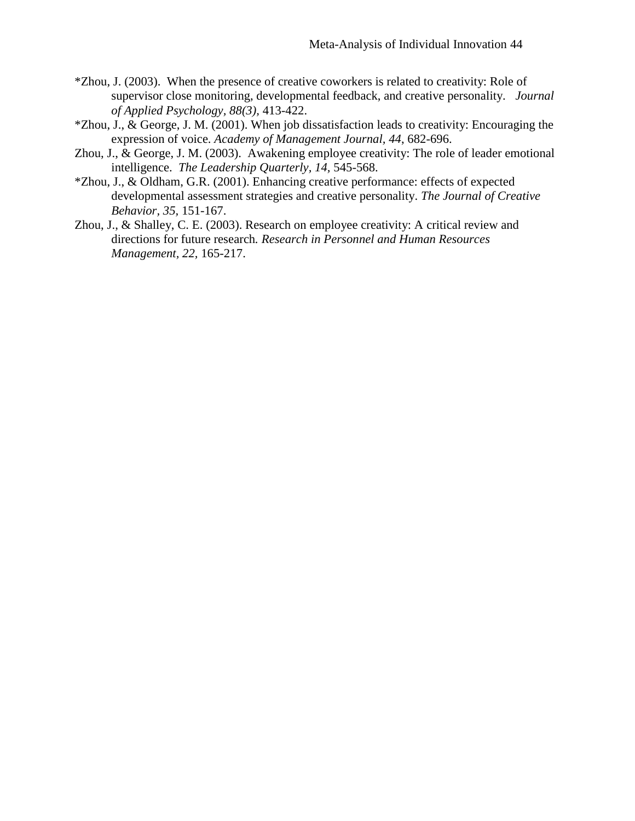- \*Zhou, J. (2003). When the presence of creative coworkers is related to creativity: Role of supervisor close monitoring, developmental feedback, and creative personality. *Journal of Applied Psychology, 88(3),* 413-422.
- \*Zhou, J., & George, J. M. (2001). When job dissatisfaction leads to creativity: Encouraging the expression of voice. *Academy of Management Journal, 44*, 682-696.
- Zhou, J., & George, J. M. (2003). Awakening employee creativity: The role of leader emotional intelligence. *The Leadership Quarterly, 14,* 545-568.
- \*Zhou, J., & Oldham, G.R. (2001). Enhancing creative performance: effects of expected developmental assessment strategies and creative personality. *The Journal of Creative Behavior, 35,* 151-167.
- Zhou, J., & Shalley, C. E. (2003). Research on employee creativity: A critical review and directions for future research*. Research in Personnel and Human Resources Management, 22,* 165-217.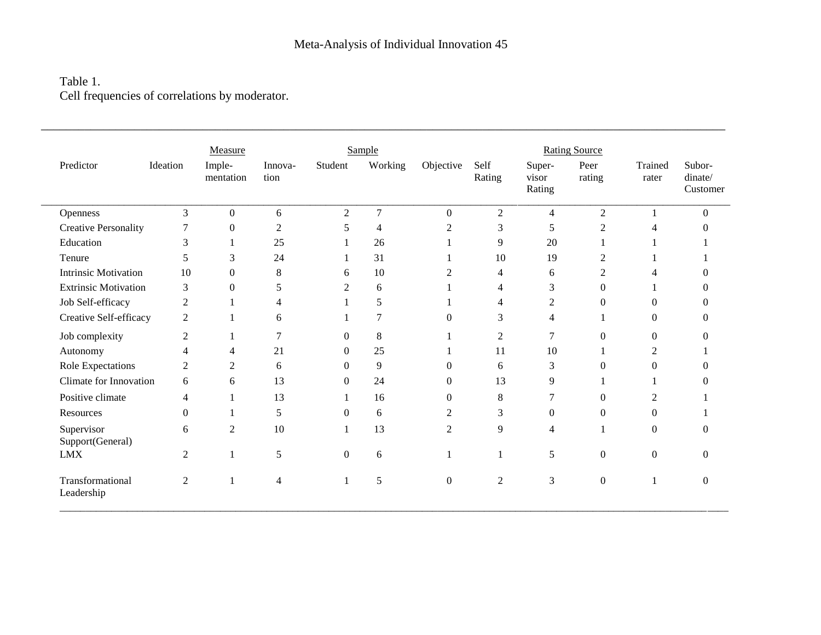\_\_\_\_\_\_\_\_\_\_\_\_\_\_\_\_\_\_\_\_\_\_\_\_\_\_\_\_\_\_\_\_\_\_\_\_\_\_\_\_\_\_\_\_\_\_\_\_\_\_\_\_\_\_\_\_\_\_\_\_\_\_\_\_\_\_\_\_\_\_\_\_\_\_\_\_\_\_\_\_\_\_\_\_\_\_\_\_\_\_\_\_\_\_\_\_\_\_\_\_\_\_\_\_\_\_\_\_\_\_

# Table 1. Cell frequencies of correlations by moderator.

|                                |                | Measure             |                 |                | Sample         |                  |                |                           | <b>Rating Source</b> |                  |                               |
|--------------------------------|----------------|---------------------|-----------------|----------------|----------------|------------------|----------------|---------------------------|----------------------|------------------|-------------------------------|
| Predictor                      | Ideation       | Imple-<br>mentation | Innova-<br>tion | Student        | Working        | Objective        | Self<br>Rating | Super-<br>visor<br>Rating | Peer<br>rating       | Trained<br>rater | Subor-<br>dinate/<br>Customer |
| Openness                       | 3              | $\boldsymbol{0}$    | 6               | $\overline{2}$ | $\overline{7}$ | $\overline{0}$   | $\overline{2}$ | $\overline{4}$            | $\overline{2}$       |                  | $\Omega$                      |
| <b>Creative Personality</b>    |                | $\boldsymbol{0}$    | $\overline{2}$  | 5              | $\overline{4}$ |                  | 3              | 5                         | $\overline{2}$       |                  |                               |
| Education                      | 3              | 1                   | 25              |                | 26             |                  | 9              | 20                        | 1                    |                  |                               |
| Tenure                         | 5              | 3                   | 24              |                | 31             |                  | 10             | 19                        | $\overline{2}$       |                  |                               |
| <b>Intrinsic Motivation</b>    | 10             | $\theta$            | 8               | 6              | 10             | $\overline{2}$   | 4              | 6                         | $\overline{c}$       |                  |                               |
| <b>Extrinsic Motivation</b>    | 3              | $\theta$            | 5               | 2              | 6              |                  | 4              | 3                         | $\Omega$             |                  |                               |
| Job Self-efficacy              | $\overline{2}$ | 1                   | 4               |                | 5              |                  | 4              | $\mathfrak{2}$            | $\Omega$             | $\theta$         |                               |
| Creative Self-efficacy         | $\overline{2}$ |                     | 6               |                | $\tau$         | 0                | 3              | $\overline{4}$            |                      | $\theta$         |                               |
| Job complexity                 | 2              | 1                   | $\overline{7}$  | $\Omega$       | $\,8\,$        |                  | 2              | $\tau$                    | $\theta$             | $\Omega$         |                               |
| Autonomy                       | 4              | 4                   | 21              | 0              | 25             |                  | 11             | 10                        |                      | 2                |                               |
| Role Expectations              | $\overline{2}$ | 2                   | 6               | $\Omega$       | 9              | $\Omega$         | 6              | 3                         | $\Omega$             | $\Omega$         |                               |
| Climate for Innovation         | 6              | 6                   | 13              | $\Omega$       | 24             | 0                | 13             | 9                         |                      |                  |                               |
| Positive climate               | $\overline{4}$ | 1                   | 13              |                | 16             | $\overline{0}$   | 8              | 7                         | $\Omega$             | 2                |                               |
| Resources                      | $\Omega$       | 1                   | 5               | $\Omega$       | 6              | $\overline{2}$   | 3              | $\overline{0}$            | $\Omega$             | $\mathbf{0}$     |                               |
| Supervisor<br>Support(General) | 6              | $\overline{2}$      | 10              |                | 13             | $\overline{2}$   | 9              | $\overline{4}$            | 1                    | $\mathbf{0}$     |                               |
| <b>LMX</b>                     | $\overline{2}$ | 1                   | 5               | $\Omega$       | 6              |                  |                | 5                         | $\overline{0}$       | $\mathbf{0}$     | 0                             |
| Transformational<br>Leadership | 2              | 1                   | $\overline{4}$  |                | 5              | $\boldsymbol{0}$ | 2              | 3                         | $\overline{0}$       |                  | $\Omega$                      |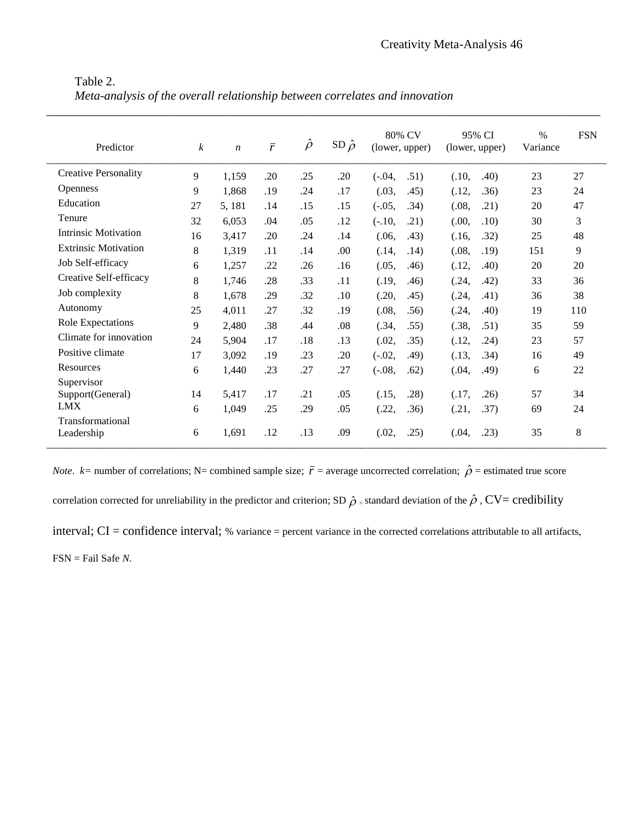| Predictor                      | $\boldsymbol{k}$ | $\boldsymbol{n}$ | $\overline{r}$ | $\hat{\rho}$ | SD $\hat{\rho}$ |            | 80% CV<br>(lower, upper) |         | 95% CI<br>(lower, upper) | $\%$<br>Variance | <b>FSN</b> |
|--------------------------------|------------------|------------------|----------------|--------------|-----------------|------------|--------------------------|---------|--------------------------|------------------|------------|
| <b>Creative Personality</b>    | 9                | 1,159            | .20            | .25          | .20             | $(-.04, )$ | .51)                     | (.10,   | .40)                     | 23               | 27         |
| <b>Openness</b>                | 9                | 1,868            | .19            | .24          | .17             | (.03,      | .45)                     | (.12,   | .36)                     | 23               | 24         |
| Education                      | 27               | 5, 181           | .14            | .15          | .15             | $(-.05,$   | .34)                     | (.08,   | .21)                     | 20               | 47         |
| Tenure                         | 32               | 6,053            | .04            | .05          | .12             | $(-.10,$   | .21)                     | (.00,   | .10)                     | 30               | 3          |
| Intrinsic Motivation           | 16               | 3,417            | .20            | .24          | .14             | (.06,      | .43)                     | (.16,   | .32)                     | 25               | 48         |
| <b>Extrinsic Motivation</b>    | 8                | 1,319            | .11            | .14          | .00             | (.14,      | .14)                     | (.08,   | .19)                     | 151              | 9          |
| Job Self-efficacy              | 6                | 1,257            | .22            | .26          | .16             | (.05,      | .46)                     | (.12,   | .40)                     | 20               | 20         |
| Creative Self-efficacy         | 8                | 1,746            | .28            | .33          | .11             | (.19,      | .46)                     | (.24, ) | .42)                     | 33               | 36         |
| Job complexity                 | 8                | 1,678            | .29            | .32          | .10             | (.20,      | .45)                     | (.24,   | .41)                     | 36               | 38         |
| Autonomy                       | 25               | 4,011            | .27            | .32          | .19             | (.08,      | .56)                     | (.24, ) | .40)                     | 19               | 110        |
| Role Expectations              | 9                | 2,480            | .38            | .44          | .08             | (.34, )    | .55)                     | (.38,   | .51)                     | 35               | 59         |
| Climate for innovation         | 24               | 5,904            | .17            | .18          | .13             | (.02,      | .35)                     | (.12,   | .24)                     | 23               | 57         |
| Positive climate               | 17               | 3,092            | .19            | .23          | .20             | $(-.02, )$ | .49)                     | (.13,   | .34)                     | 16               | 49         |
| Resources                      | 6                | 1,440            | .23            | .27          | .27             | $(-.08,$   | .62)                     | (.04,   | .49)                     | 6                | 22         |
| Supervisor                     |                  |                  |                |              |                 |            |                          |         |                          |                  |            |
| Support(General)               | 14               | 5,417            | .17            | .21          | .05             | (.15,      | .28)                     | (.17,   | .26)                     | 57               | 34         |
| <b>LMX</b>                     | 6                | 1,049            | .25            | .29          | .05             | (.22,      | .36)                     | (.21,   | .37)                     | 69               | 24         |
| Transformational<br>Leadership | 6                | 1,691            | .12            | .13          | .09             | (.02,      | .25)                     | (.04,   | .23)                     | 35               | 8          |

Table 2. *Meta-analysis of the overall relationship between correlates and innovation*

*Note.*  $k$  = number of correlations; N = combined sample size;  $\bar{r}$  = average uncorrected correlation;  $\hat{\rho}$  = estimated true score

correlation corrected for unreliability in the predictor and criterion; SD  $\hat{\rho}$  = standard deviation of the  $\hat{\rho}$  , CV= credibility

interval; CI = confidence interval; % variance = percent variance in the corrected correlations attributable to all artifacts,

FSN = Fail Safe *N*.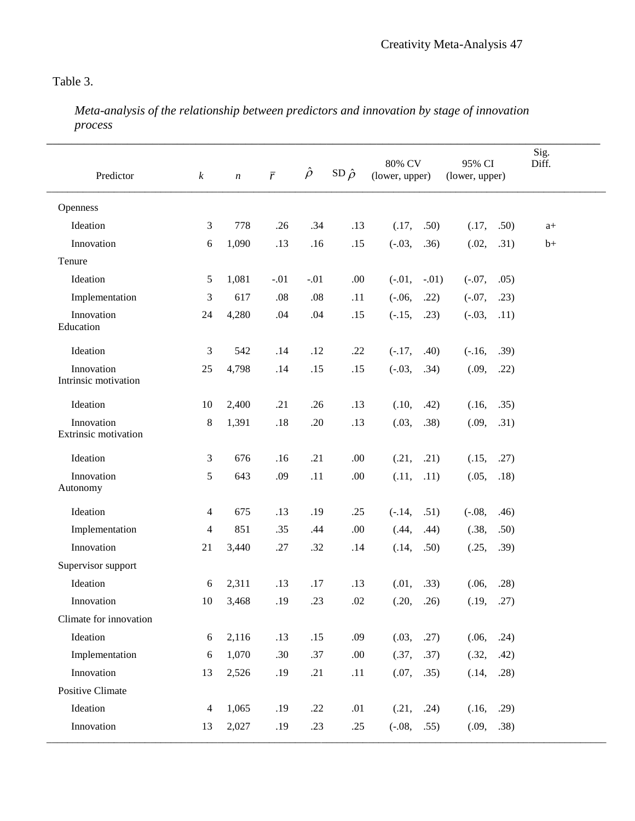# Table 3.

\_\_\_\_\_\_\_\_\_\_\_\_\_\_\_\_\_\_\_\_\_\_\_\_\_\_\_\_\_\_\_\_\_\_\_\_\_\_\_\_\_\_\_\_\_\_\_\_\_\_\_\_\_\_\_\_\_\_\_\_\_\_\_\_\_\_\_\_\_\_\_\_\_\_\_\_\_\_\_\_\_\_\_\_\_\_\_\_\_ Predictor  $k$  *n*  $\overline{r}$  $\hat{\rho}$ SD  $\hat{\rho}$ 80% CV (lower, upper) 95% CI (lower, upper) Sig. Diff. \_\_\_\_\_\_\_\_\_\_\_\_\_\_\_\_\_\_\_\_\_\_\_\_\_\_\_\_\_\_\_\_\_\_\_\_\_\_\_\_\_\_\_\_\_\_\_\_\_\_\_\_\_\_\_\_\_\_\_\_\_\_\_\_\_\_\_\_\_\_\_\_\_\_\_\_\_\_\_\_\_\_\_\_\_\_\_\_\_\_\_\_\_\_\_\_\_\_\_\_\_\_\_\_\_\_\_\_ Openness Ideation 3 778 .26 .34 .13 (.17, .50) (.17, .50) a+ Innovation 6 1,090 .13 .16 .15 (-.03, .36) (.02, .31) b+ Tenure Ideation 5 1,081 -.01 -.01 .00 (-.01, -.01) (-.07, .05) Implementation 3 617 .08 .08 .11 (-.06, .22) (-.07, .23) Innovation 24 4,280 .04 .04 .15 (-.15, .23) (-.03, .11) Education Ideation 3 542 .14 .12 .22 (-.17, .40) (-.16, .39) Innovation 25 4,798 .14 .15 .15 (-.03, .34) (.09, .22) Intrinsic motivation Ideation 10 2,400 .21 .26 .13 (.10, .42) (.16, .35) Innovation 8 1,391 .18 .20 .13 (.03, .38) (.09, .31) Extrinsic motivation Ideation 3 676 .16 .21 .00 (.21, .21) (.15, .27) Innovation 5 643 .09 .11 .00 .11, .11) (.05, .18) Autonomy Ideation 4 675 .13 .19 .25 (-.14, .51) (-.08, .46) Implementation 4 851 .35 .44 .00 .44, .44) (.38, .50) Innovation 21 3,440 .27 .32 .14 (.14, .50) (.25, .39) Supervisor support Ideation 6 2,311 .13 .17 .13 (.01, .33) (.06, .28) Innovation 10 3,468 .19 .23 .02 (.20, .26) (.19, .27) Climate for innovation Ideation 6 2,116 .13 .15 .09 (.03, .27) (.06, .24) Implementation 6 1,070 .30 .37 .00 (.37, .37) (.32, .42) Innovation 13 2,526 .19 .21 .11 (.07, .35) (.14, .28) Positive Climate Ideation 4 1,065 .19 .22 .01 (.21, .24) (.16, .29) Innovation 13 2,027 .19 .23 .25 (-.08, .55) (.09, .38) \_\_\_\_\_\_\_\_\_\_\_\_\_\_\_\_\_\_\_\_\_\_\_\_\_\_\_\_\_\_\_\_\_\_\_\_\_\_\_\_\_\_\_\_\_\_\_\_\_\_\_\_\_\_\_\_\_\_\_\_\_\_\_\_\_\_\_\_\_\_\_\_\_\_\_\_\_\_\_\_\_\_\_\_\_\_\_\_\_\_\_\_\_\_\_\_\_\_\_\_\_\_\_\_\_\_\_\_

*Meta-analysis of the relationship between predictors and innovation by stage of innovation process*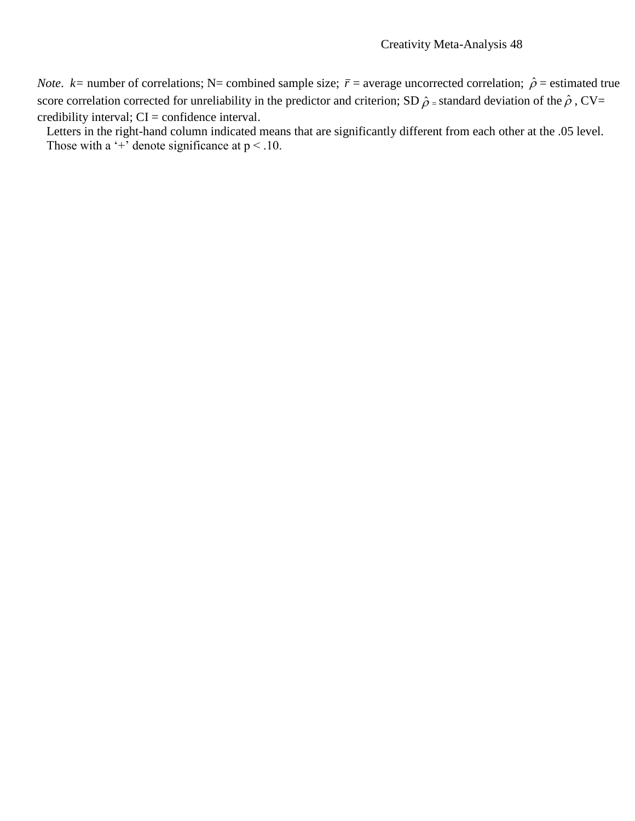*Note.*  $k$  = number of correlations; N = combined sample size;  $\bar{r}$  = average uncorrected correlation;  $\hat{\rho}$  = estimated true score correlation corrected for unreliability in the predictor and criterion; SD  $\hat{\rho}$  = standard deviation of the  $\hat{\rho}$ , CV= credibility interval;  $CI =$  confidence interval.

Letters in the right-hand column indicated means that are significantly different from each other at the .05 level. Those with a '+' denote significance at  $p < .10$ .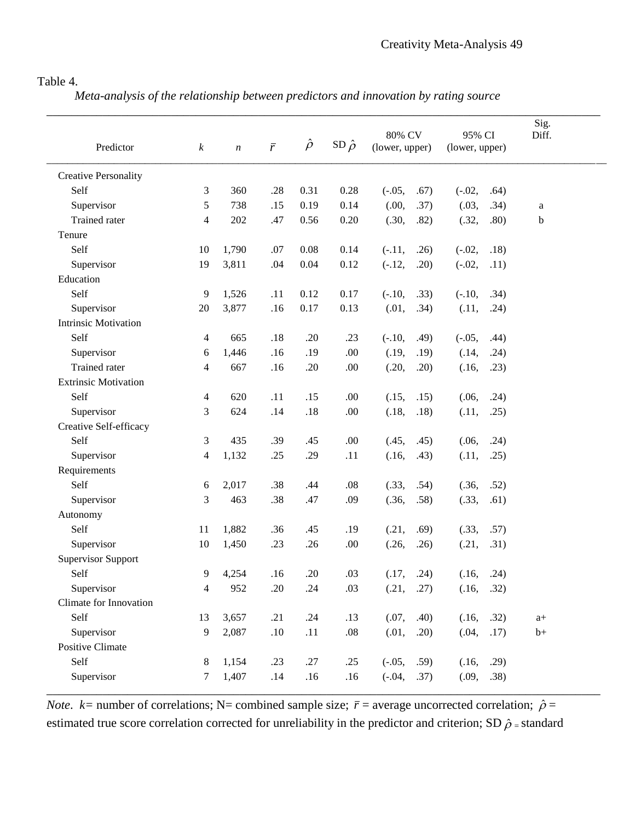# Table 4.

*Meta-analysis of the relationship between predictors and innovation by rating source*

| Predictor                   | $\boldsymbol{k}$ | $\boldsymbol{n}$ | $\bar{r}$ | $\hat{\rho}$ | SD $\hat{\rho}$ | 80% CV<br>(lower, upper) |      | 95% CI<br>(lower, upper) |      | Sig.<br>Diff. |  |
|-----------------------------|------------------|------------------|-----------|--------------|-----------------|--------------------------|------|--------------------------|------|---------------|--|
| <b>Creative Personality</b> |                  |                  |           |              |                 |                          |      |                          |      |               |  |
| Self                        | 3                | 360              | .28       | 0.31         | 0.28            | $(-.05, )$               | .67) | $(-.02,$                 | .64) |               |  |
| Supervisor                  | 5                | 738              | .15       | 0.19         | 0.14            | (.00,                    | .37) | (.03,                    | .34) | a             |  |
| Trained rater               | 4                | 202              | .47       | 0.56         | 0.20            | (.30,                    | .82) | (.32,                    | .80) | b             |  |
| Tenure                      |                  |                  |           |              |                 |                          |      |                          |      |               |  |
| Self                        | 10               | 1,790            | .07       | 0.08         | 0.14            | $(-.11,$                 | .26) | $(-.02,$                 | .18) |               |  |
| Supervisor                  | 19               | 3,811            | .04       | 0.04         | 0.12            | $(-.12,$                 | .20) | $(-.02,$                 | .11) |               |  |
| Education                   |                  |                  |           |              |                 |                          |      |                          |      |               |  |
| Self                        | 9                | 1,526            | .11       | 0.12         | 0.17            | $(-.10,$                 | .33) | $(-.10,$                 | .34) |               |  |
| Supervisor                  | 20               | 3,877            | .16       | 0.17         | 0.13            | (.01, )                  | .34) | (.11,                    | .24) |               |  |
| <b>Intrinsic Motivation</b> |                  |                  |           |              |                 |                          |      |                          |      |               |  |
| Self                        | 4                | 665              | .18       | .20          | .23             | $(-.10,$                 | .49) | $(-.05,$                 | .44) |               |  |
| Supervisor                  | 6                | 1,446            | .16       | .19          | .00.            | (.19,                    | .19) | (.14,                    | .24) |               |  |
| Trained rater               | 4                | 667              | .16       | .20          | .00             | (.20, )                  | .20) | (.16,                    | .23) |               |  |
| <b>Extrinsic Motivation</b> |                  |                  |           |              |                 |                          |      |                          |      |               |  |
| Self                        | $\overline{4}$   | 620              | .11       | .15          | .00.            | (.15,                    | .15) | (.06,                    | .24) |               |  |
| Supervisor                  | 3                | 624              | .14       | $.18$        | .00             | (.18,                    | .18) | (.11,                    | .25) |               |  |
| Creative Self-efficacy      |                  |                  |           |              |                 |                          |      |                          |      |               |  |
| Self                        | 3                | 435              | .39       | .45          | .00.            | (.45, )                  | .45) | (.06,                    | .24) |               |  |
| Supervisor                  | 4                | 1,132            | .25       | .29          | .11             | (.16,                    | .43) | (.11,                    | .25) |               |  |
| Requirements                |                  |                  |           |              |                 |                          |      |                          |      |               |  |
| Self                        | 6                | 2,017            | .38       | .44          | .08             | (.33,                    | .54) | (.36,                    | .52) |               |  |
| Supervisor                  | 3                | 463              | .38       | .47          | .09             | (.36,                    | .58) | (.33,                    | .61) |               |  |
| Autonomy                    |                  |                  |           |              |                 |                          |      |                          |      |               |  |
| Self                        | 11               | 1,882            | .36       | .45          | .19             | (.21, )                  | .69) | (.33,                    | .57) |               |  |
| Supervisor                  | 10               | 1,450            | .23       | .26          | .00             | (.26, )                  | .26) | (.21, )                  | .31) |               |  |
| <b>Supervisor Support</b>   |                  |                  |           |              |                 |                          |      |                          |      |               |  |
| Self                        | 9                | 4,254            | .16       | .20          | .03             | (.17,                    | .24) | (.16,                    | .24) |               |  |
| Supervisor                  | $\overline{4}$   | 952              | .20       | .24          | .03             | (.21, )                  | .27) | (.16,                    | .32) |               |  |
| Climate for Innovation      |                  |                  |           |              |                 |                          |      |                          |      |               |  |
| Self                        | 13               | 3,657            | .21       | .24          | .13             | (.07, )                  | .40) | (.16, )                  | .32) | $a+$          |  |
| Supervisor                  | 9                | 2,087            | $.10\,$   | .11          | $.08\,$         | (.01, )                  | .20) | (.04,                    | .17) | $b+$          |  |
| Positive Climate            |                  |                  |           |              |                 |                          |      |                          |      |               |  |
| Self                        | 8                | 1,154            | .23       | .27          | .25             | $(-.05, )$               | .59) | (.16,                    | .29) |               |  |
| Supervisor                  | 7                | 1,407            | .14       | .16          | .16             | $(-.04, )$               | .37) | (.09,                    | .38) |               |  |

*Note*.  $k$  = number of correlations; N = combined sample size;  $\bar{r}$  = average uncorrected correlation;  $\hat{\rho}$  = estimated true score correlation corrected for unreliability in the predictor and criterion; SD  $\hat{\rho}$  = standard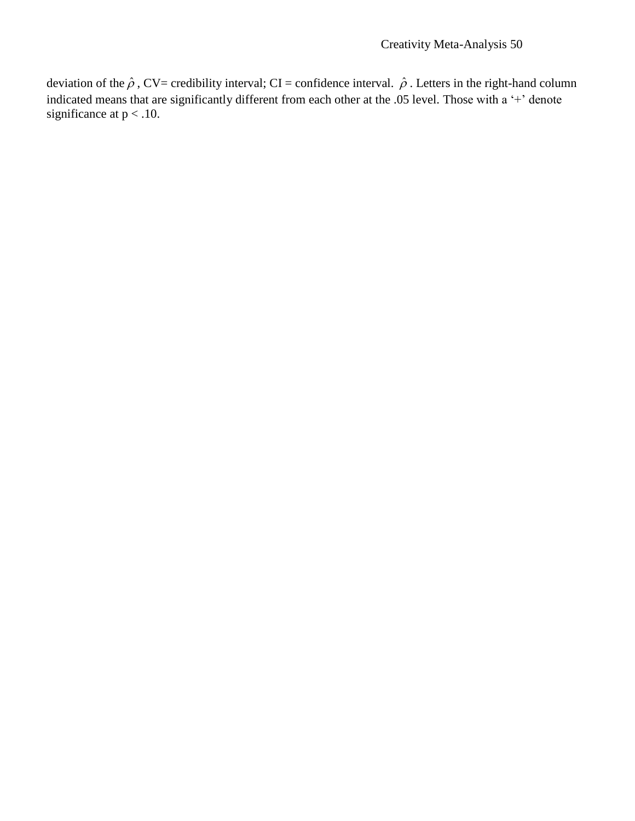deviation of the  $\hat{\rho}$ , CV= credibility interval; CI = confidence interval.  $\hat{\rho}$ . Letters in the right-hand column indicated means that are significantly different from each other at the .05 level. Those with a '+' denote significance at  $p < .10$ .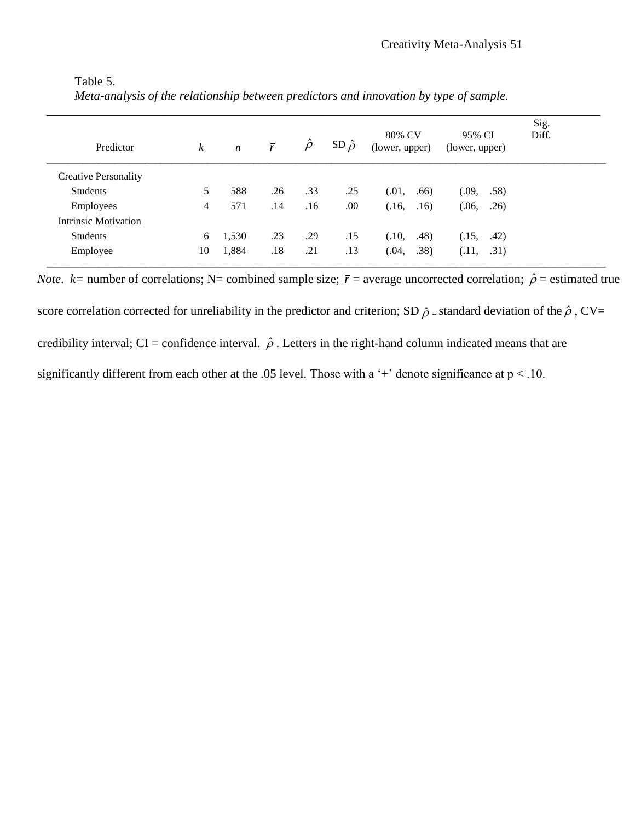| Predictor                   | $\boldsymbol{k}$ | $\boldsymbol{n}$ | $\bar{r}$ | $\ddot{\rho}$ | SD $\hat{\rho}$ | 80% CV<br>(lower, upper) | 95% CI<br>(lower, upper) | Sig.<br>Diff. |
|-----------------------------|------------------|------------------|-----------|---------------|-----------------|--------------------------|--------------------------|---------------|
| <b>Creative Personality</b> |                  |                  |           |               |                 |                          |                          |               |
| <b>Students</b>             | 5                | 588              | .26       | .33           | .25             | (0.01,<br>.66)           | (.09,<br>.58)            |               |
| Employees                   | 4                | 571              | .14       | .16           | .00             | (.16, )<br>.16)          | (.06,<br>.26)            |               |
| Intrinsic Motivation        |                  |                  |           |               |                 |                          |                          |               |
| <b>Students</b>             | 6                | 1,530            | .23       | .29           | .15             | .48)<br>(.10, )          | (.15,<br>.42)            |               |
| Employee                    | 10               | 1,884            | .18       | .21           | .13             | .38)<br>(.04,            | (.11,<br>.31)            |               |

Table 5. *Meta-analysis of the relationship between predictors and innovation by type of sample.*

*Note.*  $k$  = number of correlations; N = combined sample size;  $\bar{r}$  = average uncorrected correlation;  $\hat{\rho}$  = estimated true score correlation corrected for unreliability in the predictor and criterion; SD  $\hat{\rho}$  = standard deviation of the  $\hat{\rho}$ , CV= credibility interval; CI = confidence interval.  $\hat{\rho}$ . Letters in the right-hand column indicated means that are significantly different from each other at the .05 level. Those with a '+' denote significance at  $p < .10$ .